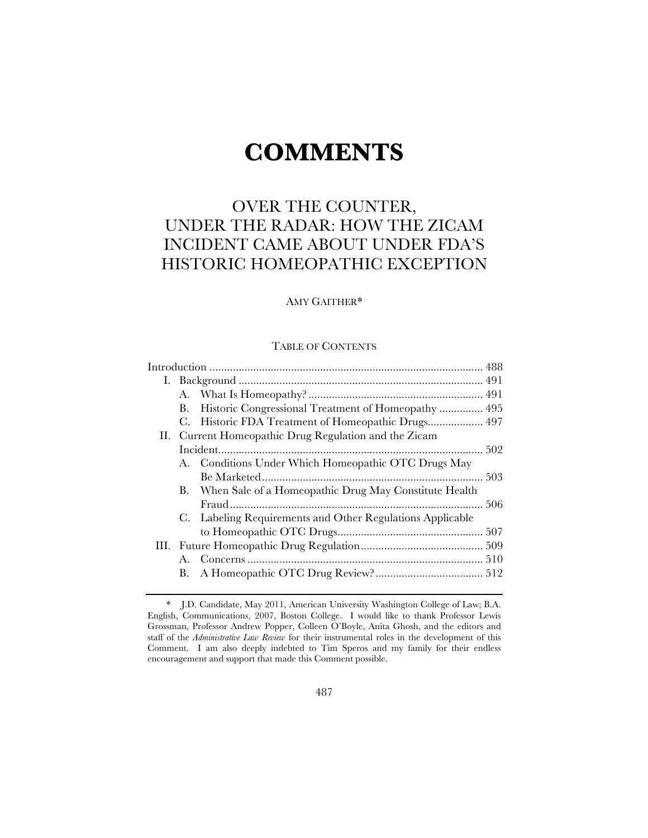# **COMMENTS**

# OVER THE COUNTER, UNDER THE RADAR: HOW THE ZICAM INCIDENT CAME ABOUT UNDER FDA'S HISTORIC HOMEOPATHIC EXCEPTION

# AMY GAITHER\*

# TABLE OF CONTENTS

|  | В.                                                    |                                                           |  |
|--|-------------------------------------------------------|-----------------------------------------------------------|--|
|  |                                                       | C. Historic FDA Treatment of Homeopathic Drugs 497        |  |
|  | II. Current Homeopathic Drug Regulation and the Zicam |                                                           |  |
|  |                                                       |                                                           |  |
|  |                                                       | A. Conditions Under Which Homeopathic OTC Drugs May       |  |
|  |                                                       |                                                           |  |
|  |                                                       | B. When Sale of a Homeopathic Drug May Constitute Health  |  |
|  |                                                       |                                                           |  |
|  |                                                       | C. Labeling Requirements and Other Regulations Applicable |  |
|  |                                                       |                                                           |  |
|  |                                                       |                                                           |  |
|  |                                                       |                                                           |  |
|  |                                                       |                                                           |  |
|  |                                                       |                                                           |  |

<sup>\*</sup> J.D. Candidate, May 2011, American University Washington College of Law; B.A. English, Communications, 2007, Boston College. I would like to thank Professor Lewis Grossman, Professor Andrew Popper, Colleen O'Boyle, Anita Ghosh, and the editors and staff of the *Administrative Law Review* for their instrumental roles in the development of this Comment. I am also deeply indebted to Tim Speros and my family for their endless encouragement and support that made this Comment possible.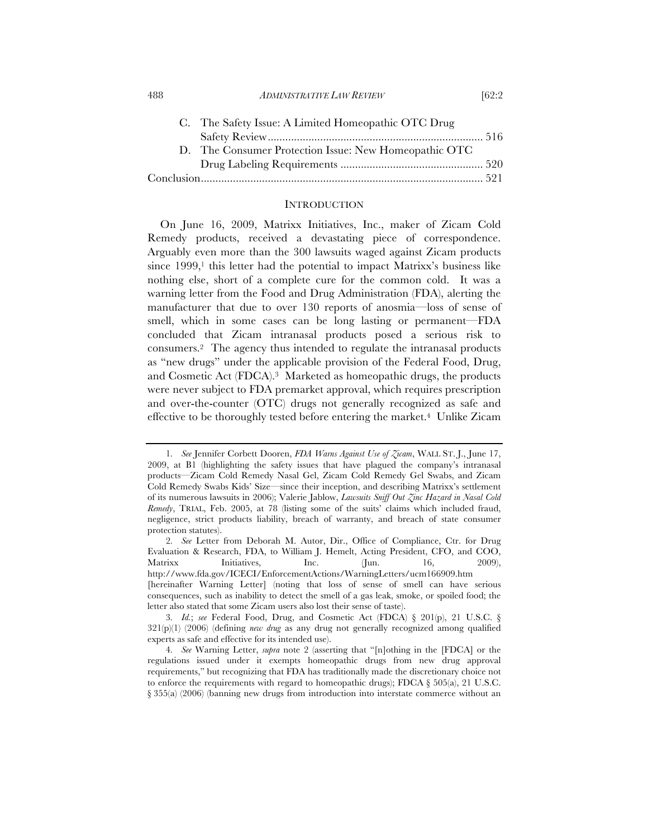| 488<br><i>ADMINISTRATIVE LAW REVIEW</i> | [62:2 |
|-----------------------------------------|-------|
|-----------------------------------------|-------|

| C. The Safety Issue: A Limited Homeopathic OTC Drug   |  |
|-------------------------------------------------------|--|
|                                                       |  |
| D. The Consumer Protection Issue: New Homeopathic OTC |  |
|                                                       |  |
|                                                       |  |

# **INTRODUCTION**

On June 16, 2009, Matrixx Initiatives, Inc., maker of Zicam Cold Remedy products, received a devastating piece of correspondence. Arguably even more than the 300 lawsuits waged against Zicam products since  $1999,^{\text{1}}$  this letter had the potential to impact Matrixx's business like nothing else, short of a complete cure for the common cold. It was a warning letter from the Food and Drug Administration (FDA), alerting the manufacturer that due to over 130 reports of anosmia—loss of sense of smell, which in some cases can be long lasting or permanent—FDA concluded that Zicam intranasal products posed a serious risk to consumers.2 The agency thus intended to regulate the intranasal products as "new drugs" under the applicable provision of the Federal Food, Drug, and Cosmetic Act (FDCA).3 Marketed as homeopathic drugs, the products were never subject to FDA premarket approval, which requires prescription and over-the-counter (OTC) drugs not generally recognized as safe and effective to be thoroughly tested before entering the market.4 Unlike Zicam

<sup>1</sup>*. See* Jennifer Corbett Dooren, *FDA Warns Against Use of Zicam*, WALL ST. J., June 17, 2009, at B1 (highlighting the safety issues that have plagued the company's intranasal products—Zicam Cold Remedy Nasal Gel, Zicam Cold Remedy Gel Swabs, and Zicam Cold Remedy Swabs Kids' Size—since their inception, and describing Matrixx's settlement of its numerous lawsuits in 2006); Valerie Jablow, *Lawsuits Sniff Out Zinc Hazard in Nasal Cold Remedy*, TRIAL, Feb. 2005, at 78 (listing some of the suits' claims which included fraud, negligence, strict products liability, breach of warranty, and breach of state consumer protection statutes).

<sup>2</sup>*. See* Letter from Deborah M. Autor, Dir., Office of Compliance, Ctr. for Drug Evaluation & Research, FDA, to William J. Hemelt, Acting President, CFO, and COO, Matrixx Initiatives, Inc. (Jun. 16, 2009), http://www.fda.gov/ICECI/EnforcementActions/WarningLetters/ucm166909.htm [hereinafter Warning Letter] (noting that loss of sense of smell can have serious consequences, such as inability to detect the smell of a gas leak, smoke, or spoiled food; the letter also stated that some Zicam users also lost their sense of taste).

<sup>3</sup>*. Id.*; *see* Federal Food, Drug, and Cosmetic Act (FDCA) § 201(p), 21 U.S.C. § 321(p)(1) (2006) (defining *new drug* as any drug not generally recognized among qualified experts as safe and effective for its intended use).

<sup>4</sup>*. See* Warning Letter, *supra* note 2 (asserting that "[n]othing in the [FDCA] or the regulations issued under it exempts homeopathic drugs from new drug approval requirements," but recognizing that FDA has traditionally made the discretionary choice not to enforce the requirements with regard to homeopathic drugs); FDCA  $\S$  505(a), 21 U.S.C. § 355(a) (2006) (banning new drugs from introduction into interstate commerce without an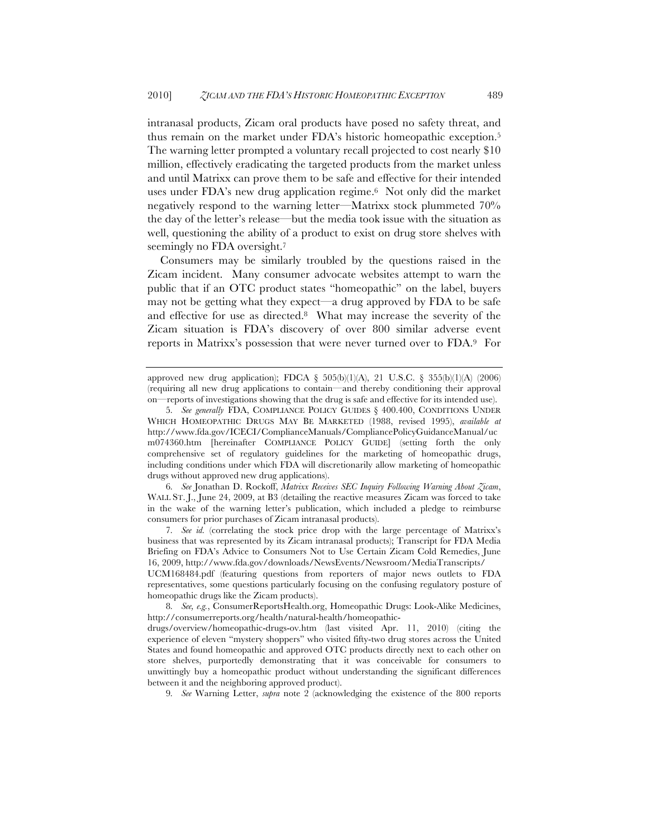intranasal products, Zicam oral products have posed no safety threat, and thus remain on the market under FDA's historic homeopathic exception.5 The warning letter prompted a voluntary recall projected to cost nearly \$10 million, effectively eradicating the targeted products from the market unless and until Matrixx can prove them to be safe and effective for their intended uses under FDA's new drug application regime.6 Not only did the market negatively respond to the warning letter—Matrixx stock plummeted 70% the day of the letter's release—but the media took issue with the situation as well, questioning the ability of a product to exist on drug store shelves with seemingly no FDA oversight.<sup>7</sup>

Consumers may be similarly troubled by the questions raised in the Zicam incident. Many consumer advocate websites attempt to warn the public that if an OTC product states "homeopathic" on the label, buyers may not be getting what they expect—a drug approved by FDA to be safe and effective for use as directed.8 What may increase the severity of the Zicam situation is FDA's discovery of over 800 similar adverse event reports in Matrixx's possession that were never turned over to FDA.9 For

6*. See* Jonathan D. Rockoff, *Matrixx Receives SEC Inquiry Following Warning About Zicam*, WALL ST. J., June 24, 2009, at B3 (detailing the reactive measures Zicam was forced to take in the wake of the warning letter's publication, which included a pledge to reimburse consumers for prior purchases of Zicam intranasal products).

7*. See id.* (correlating the stock price drop with the large percentage of Matrixx's business that was represented by its Zicam intranasal products); Transcript for FDA Media Briefing on FDA's Advice to Consumers Not to Use Certain Zicam Cold Remedies, June 16, 2009, http://www.fda.gov/downloads/NewsEvents/Newsroom/MediaTranscripts/

UCM168484.pdf (featuring questions from reporters of major news outlets to FDA representatives, some questions particularly focusing on the confusing regulatory posture of homeopathic drugs like the Zicam products).

8*. See, e.g.*, ConsumerReportsHealth.org, Homeopathic Drugs: Look-Alike Medicines, http://consumerreports.org/health/natural-health/homeopathic-

drugs/overview/homeopathic-drugs-ov.htm (last visited Apr. 11, 2010) (citing the experience of eleven "mystery shoppers" who visited fifty-two drug stores across the United States and found homeopathic and approved OTC products directly next to each other on store shelves, purportedly demonstrating that it was conceivable for consumers to unwittingly buy a homeopathic product without understanding the significant differences between it and the neighboring approved product).

9*. See* Warning Letter, *supra* note 2 (acknowledging the existence of the 800 reports

approved new drug application); FDCA § 505(b)(1)(A), 21 U.S.C. § 355(b)(1)(A) (2006) (requiring all new drug applications to contain—and thereby conditioning their approval on—reports of investigations showing that the drug is safe and effective for its intended use).

<sup>5</sup>*. See generally* FDA, COMPLIANCE POLICY GUIDES § 400.400, CONDITIONS UNDER WHICH HOMEOPATHIC DRUGS MAY BE MARKETED (1988, revised 1995), *available at* http://www.fda.gov/ICECI/ComplianceManuals/CompliancePolicyGuidanceManual/uc m074360.htm [hereinafter COMPLIANCE POLICY GUIDE] (setting forth the only comprehensive set of regulatory guidelines for the marketing of homeopathic drugs, including conditions under which FDA will discretionarily allow marketing of homeopathic drugs without approved new drug applications).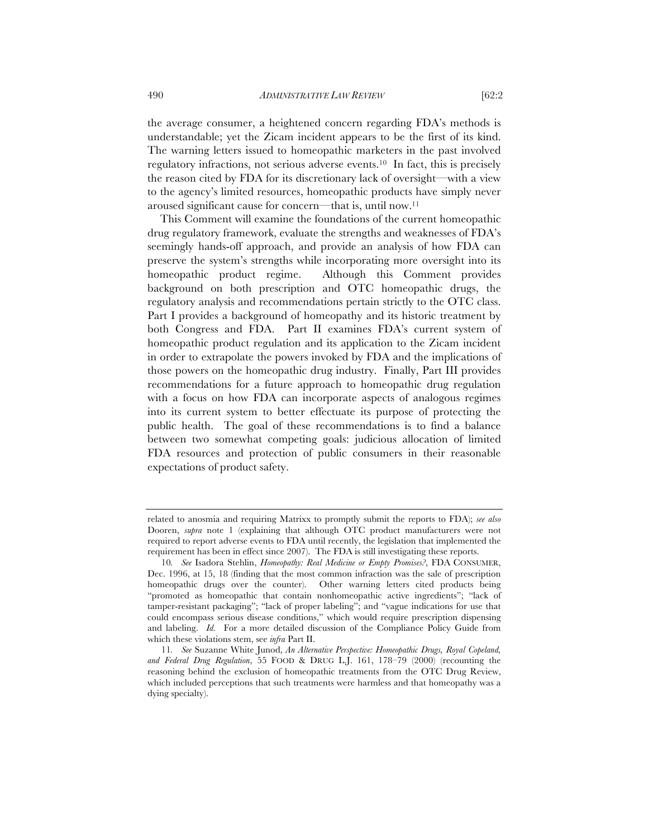the average consumer, a heightened concern regarding FDA's methods is understandable; yet the Zicam incident appears to be the first of its kind. The warning letters issued to homeopathic marketers in the past involved regulatory infractions, not serious adverse events.10 In fact, this is precisely the reason cited by FDA for its discretionary lack of oversight—with a view to the agency's limited resources, homeopathic products have simply never aroused significant cause for concern—that is, until now.11

This Comment will examine the foundations of the current homeopathic drug regulatory framework, evaluate the strengths and weaknesses of FDA's seemingly hands-off approach, and provide an analysis of how FDA can preserve the system's strengths while incorporating more oversight into its homeopathic product regime. Although this Comment provides background on both prescription and OTC homeopathic drugs, the regulatory analysis and recommendations pertain strictly to the OTC class. Part I provides a background of homeopathy and its historic treatment by both Congress and FDA. Part II examines FDA's current system of homeopathic product regulation and its application to the Zicam incident in order to extrapolate the powers invoked by FDA and the implications of those powers on the homeopathic drug industry. Finally, Part III provides recommendations for a future approach to homeopathic drug regulation with a focus on how FDA can incorporate aspects of analogous regimes into its current system to better effectuate its purpose of protecting the public health. The goal of these recommendations is to find a balance between two somewhat competing goals: judicious allocation of limited FDA resources and protection of public consumers in their reasonable expectations of product safety.

related to anosmia and requiring Matrixx to promptly submit the reports to FDA); *see also* Dooren, *supra* note 1 (explaining that although OTC product manufacturers were not required to report adverse events to FDA until recently, the legislation that implemented the requirement has been in effect since 2007). The FDA is still investigating these reports.

<sup>10</sup>*. See* Isadora Stehlin, *Homeopathy: Real Medicine or Empty Promises?*, FDA CONSUMER, Dec. 1996, at 15, 18 (finding that the most common infraction was the sale of prescription homeopathic drugs over the counter). Other warning letters cited products being "promoted as homeopathic that contain nonhomeopathic active ingredients"; "lack of tamper-resistant packaging"; "lack of proper labeling"; and "vague indications for use that could encompass serious disease conditions," which would require prescription dispensing and labeling. *Id.* For a more detailed discussion of the Compliance Policy Guide from which these violations stem, see *infra* Part II.

<sup>11</sup>*. See* Suzanne White Junod, *An Alternative Perspective: Homeopathic Drugs, Royal Copeland, and Federal Drug Regulation*, 55 FOOD & DRUG L.J. 161, 178–79 (2000) (recounting the reasoning behind the exclusion of homeopathic treatments from the OTC Drug Review, which included perceptions that such treatments were harmless and that homeopathy was a dying specialty).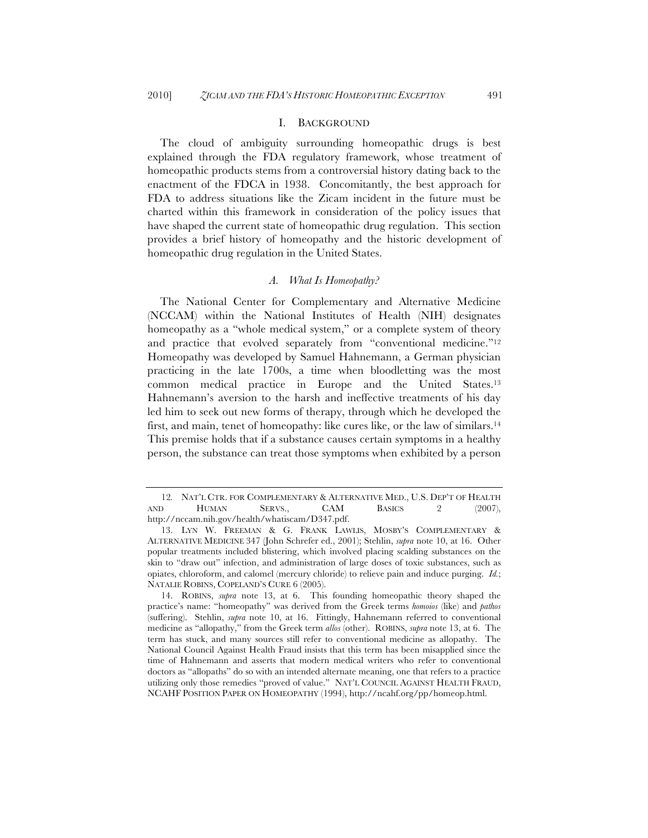# I. BACKGROUND

The cloud of ambiguity surrounding homeopathic drugs is best explained through the FDA regulatory framework, whose treatment of homeopathic products stems from a controversial history dating back to the enactment of the FDCA in 1938. Concomitantly, the best approach for FDA to address situations like the Zicam incident in the future must be charted within this framework in consideration of the policy issues that have shaped the current state of homeopathic drug regulation. This section provides a brief history of homeopathy and the historic development of homeopathic drug regulation in the United States.

# *A. What Is Homeopathy?*

The National Center for Complementary and Alternative Medicine (NCCAM) within the National Institutes of Health (NIH) designates homeopathy as a "whole medical system," or a complete system of theory and practice that evolved separately from "conventional medicine."12 Homeopathy was developed by Samuel Hahnemann, a German physician practicing in the late 1700s, a time when bloodletting was the most common medical practice in Europe and the United States.13 Hahnemann's aversion to the harsh and ineffective treatments of his day led him to seek out new forms of therapy, through which he developed the first, and main, tenet of homeopathy: like cures like, or the law of similars.14 This premise holds that if a substance causes certain symptoms in a healthy person, the substance can treat those symptoms when exhibited by a person

<sup>12</sup>*.* NAT'L CTR. FOR COMPLEMENTARY & ALTERNATIVE MED., U.S. DEP'T OF HEALTH AND HUMAN SERVS., CAM BASICS 2 (2007), http://nccam.nih.gov/health/whatiscam/D347.pdf.

<sup>13.</sup> LYN W. FREEMAN & G. FRANK LAWLIS, MOSBY'S COMPLEMENTARY & ALTERNATIVE MEDICINE 347 (John Schrefer ed., 2001); Stehlin, *supra* note 10, at 16. Other popular treatments included blistering, which involved placing scalding substances on the skin to "draw out" infection, and administration of large doses of toxic substances, such as opiates, chloroform, and calomel (mercury chloride) to relieve pain and induce purging. *Id.*; NATALIE ROBINS, COPELAND'S CURE 6 (2005).

<sup>14.</sup> ROBINS, *supra* note 13, at 6. This founding homeopathic theory shaped the practice's name: "homeopathy" was derived from the Greek terms *homoios* (like) and *pathos* (suffering). Stehlin, *supra* note 10, at 16. Fittingly, Hahnemann referred to conventional medicine as "allopathy," from the Greek term *allos* (other). ROBINS, *supra* note 13, at 6. The term has stuck, and many sources still refer to conventional medicine as allopathy. The National Council Against Health Fraud insists that this term has been misapplied since the time of Hahnemann and asserts that modern medical writers who refer to conventional doctors as "allopaths" do so with an intended alternate meaning, one that refers to a practice utilizing only those remedies "proved of value." NAT'L COUNCIL AGAINST HEALTH FRAUD, NCAHF POSITION PAPER ON HOMEOPATHY (1994), http://ncahf.org/pp/homeop.html.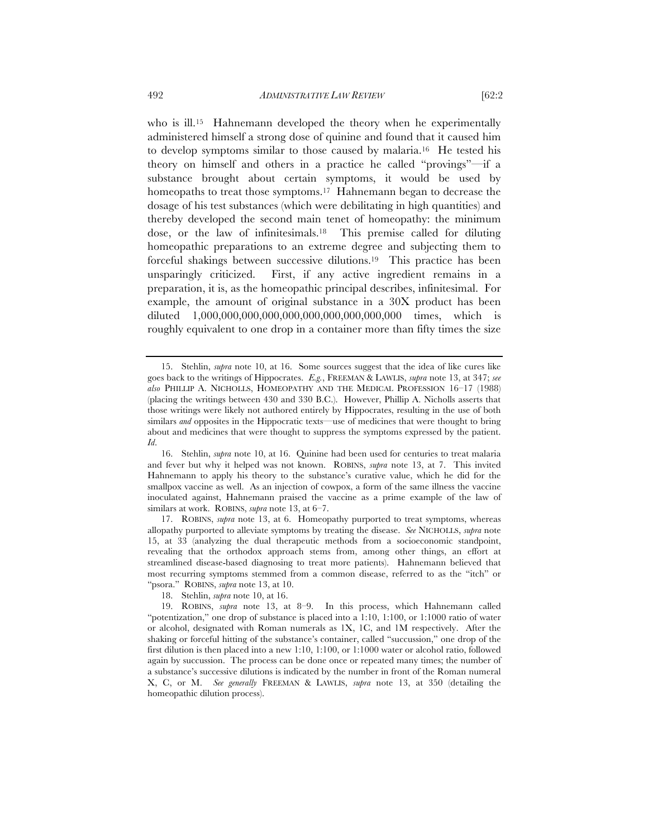who is ill.<sup>15</sup> Hahnemann developed the theory when he experimentally administered himself a strong dose of quinine and found that it caused him to develop symptoms similar to those caused by malaria.16 He tested his theory on himself and others in a practice he called "provings"—if a substance brought about certain symptoms, it would be used by

homeopaths to treat those symptoms.<sup>17</sup> Hahnemann began to decrease the dosage of his test substances (which were debilitating in high quantities) and thereby developed the second main tenet of homeopathy: the minimum dose, or the law of infinitesimals.18 This premise called for diluting homeopathic preparations to an extreme degree and subjecting them to forceful shakings between successive dilutions.19 This practice has been unsparingly criticized. First, if any active ingredient remains in a preparation, it is, as the homeopathic principal describes, infinitesimal. For example, the amount of original substance in a 30X product has been diluted 1,000,000,000,000,000,000,000,000,000,000 times, which is roughly equivalent to one drop in a container more than fifty times the size

17. ROBINS, *supra* note 13, at 6. Homeopathy purported to treat symptoms, whereas allopathy purported to alleviate symptoms by treating the disease. *See* NICHOLLS, *supra* note 15, at 33 (analyzing the dual therapeutic methods from a socioeconomic standpoint, revealing that the orthodox approach stems from, among other things, an effort at streamlined disease-based diagnosing to treat more patients). Hahnemann believed that most recurring symptoms stemmed from a common disease, referred to as the "itch" or "psora." ROBINS, *supra* note 13, at 10.

<sup>15.</sup> Stehlin, *supra* note 10, at 16. Some sources suggest that the idea of like cures like goes back to the writings of Hippocrates. *E.g.*, FREEMAN & LAWLIS, *supra* note 13, at 347; *see also* PHILLIP A. NICHOLLS, HOMEOPATHY AND THE MEDICAL PROFESSION 16–17 (1988) (placing the writings between 430 and 330 B.C.). However, Phillip A. Nicholls asserts that those writings were likely not authored entirely by Hippocrates, resulting in the use of both similars *and* opposites in the Hippocratic texts—use of medicines that were thought to bring about and medicines that were thought to suppress the symptoms expressed by the patient. *Id*.

<sup>16.</sup> Stehlin, *supra* note 10, at 16. Quinine had been used for centuries to treat malaria and fever but why it helped was not known. ROBINS, *supra* note 13, at 7. This invited Hahnemann to apply his theory to the substance's curative value, which he did for the smallpox vaccine as well. As an injection of cowpox, a form of the same illness the vaccine inoculated against, Hahnemann praised the vaccine as a prime example of the law of similars at work. ROBINS, *supra* note 13, at 6–7.

<sup>18.</sup> Stehlin, *supra* note 10, at 16.

<sup>19.</sup> ROBINS, *supra* note 13, at 8–9. In this process, which Hahnemann called "potentization," one drop of substance is placed into a 1:10, 1:100, or 1:1000 ratio of water or alcohol, designated with Roman numerals as 1X, 1C, and 1M respectively. After the shaking or forceful hitting of the substance's container, called "succussion," one drop of the first dilution is then placed into a new 1:10, 1:100, or 1:1000 water or alcohol ratio, followed again by succussion. The process can be done once or repeated many times; the number of a substance's successive dilutions is indicated by the number in front of the Roman numeral X, C, or M. *See generally* FREEMAN & LAWLIS, *supra* note 13, at 350 (detailing the homeopathic dilution process).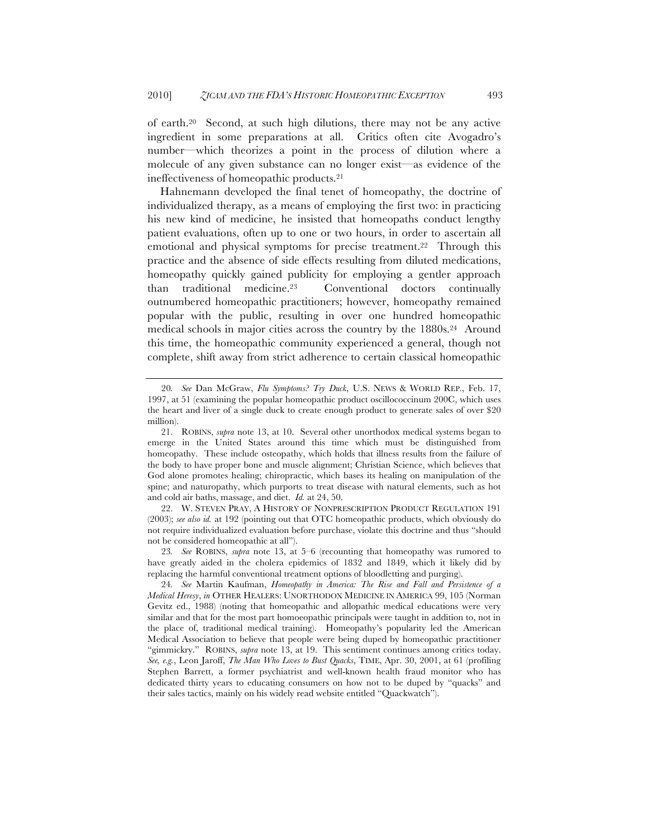of earth.20 Second, at such high dilutions, there may not be any active ingredient in some preparations at all. Critics often cite Avogadro's number—which theorizes a point in the process of dilution where a molecule of any given substance can no longer exist—as evidence of the ineffectiveness of homeopathic products.21

Hahnemann developed the final tenet of homeopathy, the doctrine of individualized therapy, as a means of employing the first two: in practicing his new kind of medicine, he insisted that homeopaths conduct lengthy patient evaluations, often up to one or two hours, in order to ascertain all emotional and physical symptoms for precise treatment.<sup>22</sup> Through this practice and the absence of side effects resulting from diluted medications, homeopathy quickly gained publicity for employing a gentler approach than traditional medicine.23 Conventional doctors continually outnumbered homeopathic practitioners; however, homeopathy remained popular with the public, resulting in over one hundred homeopathic medical schools in major cities across the country by the 1880s.<sup>24</sup> Around this time, the homeopathic community experienced a general, though not complete, shift away from strict adherence to certain classical homeopathic

22. W. STEVEN PRAY, A HISTORY OF NONPRESCRIPTION PRODUCT REGULATION 191 (2003); *see also id.* at 192 (pointing out that OTC homeopathic products, which obviously do not require individualized evaluation before purchase, violate this doctrine and thus "should not be considered homeopathic at all").

23*. See* ROBINS, *supra* note 13, at 5–6 (recounting that homeopathy was rumored to have greatly aided in the cholera epidemics of 1832 and 1849, which it likely did by replacing the harmful conventional treatment options of bloodletting and purging).

<sup>20</sup>*. See* Dan McGraw, *Flu Symptoms? Try Duck*, U.S. NEWS & WORLD REP., Feb. 17, 1997, at 51 (examining the popular homeopathic product oscillococcinum 200C, which uses the heart and liver of a single duck to create enough product to generate sales of over \$20 million).

<sup>21.</sup> ROBINS, *supra* note 13, at 10. Several other unorthodox medical systems began to emerge in the United States around this time which must be distinguished from homeopathy. These include osteopathy, which holds that illness results from the failure of the body to have proper bone and muscle alignment; Christian Science, which believes that God alone promotes healing; chiropractic, which bases its healing on manipulation of the spine; and naturopathy, which purports to treat disease with natural elements, such as hot and cold air baths, massage, and diet. *Id.* at 24, 50.

<sup>24</sup>*. See* Martin Kaufman, *Homeopathy in America: The Rise and Fall and Persistence of a Medical Heresy*, *in* OTHER HEALERS: UNORTHODOX MEDICINE IN AMERICA 99, 105 (Norman Gevitz ed., 1988) (noting that homeopathic and allopathic medical educations were very similar and that for the most part homoeopathic principals were taught in addition to, not in the place of, traditional medical training). Homeopathy's popularity led the American Medical Association to believe that people were being duped by homeopathic practitioner "gimmickry." ROBINS, *supra* note 13, at 19. This sentiment continues among critics today. *See, e.g.*, Leon Jaroff, *The Man Who Loves to Bust Quacks*, TIME, Apr. 30, 2001, at 61 (profiling Stephen Barrett, a former psychiatrist and well-known health fraud monitor who has dedicated thirty years to educating consumers on how not to be duped by "quacks" and their sales tactics, mainly on his widely read website entitled "Quackwatch").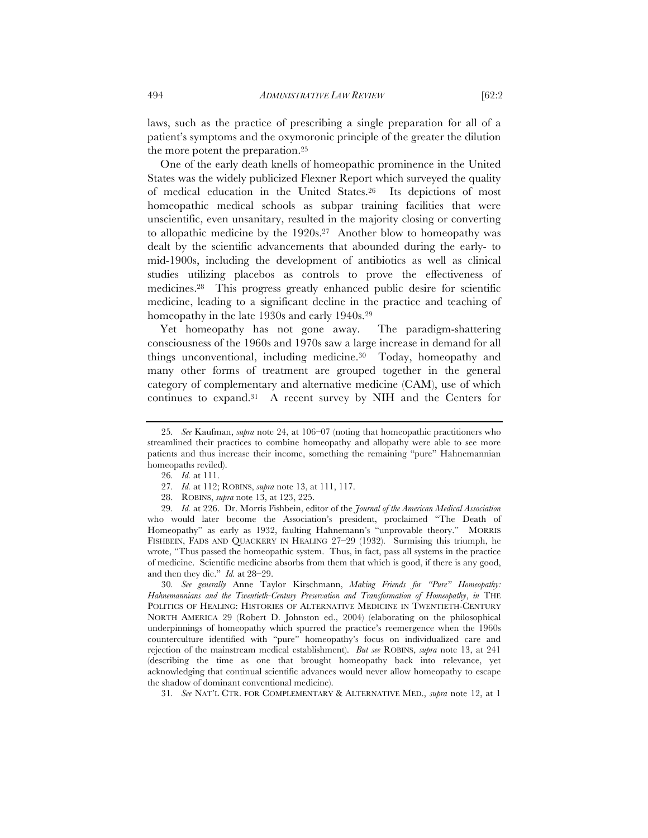laws, such as the practice of prescribing a single preparation for all of a patient's symptoms and the oxymoronic principle of the greater the dilution the more potent the preparation.25

One of the early death knells of homeopathic prominence in the United States was the widely publicized Flexner Report which surveyed the quality of medical education in the United States.26 Its depictions of most homeopathic medical schools as subpar training facilities that were unscientific, even unsanitary, resulted in the majority closing or converting to allopathic medicine by the 1920s.27 Another blow to homeopathy was dealt by the scientific advancements that abounded during the early- to mid-1900s, including the development of antibiotics as well as clinical studies utilizing placebos as controls to prove the effectiveness of medicines.28 This progress greatly enhanced public desire for scientific medicine, leading to a significant decline in the practice and teaching of homeopathy in the late 1930s and early 1940s.29

Yet homeopathy has not gone away. The paradigm-shattering consciousness of the 1960s and 1970s saw a large increase in demand for all things unconventional, including medicine.30 Today, homeopathy and many other forms of treatment are grouped together in the general category of complementary and alternative medicine (CAM), use of which continues to expand.31 A recent survey by NIH and the Centers for

31*. See* NAT'L CTR. FOR COMPLEMENTARY & ALTERNATIVE MED., *supra* note 12, at 1

<sup>25</sup>*. See* Kaufman, *supra* note 24, at 106–07 (noting that homeopathic practitioners who streamlined their practices to combine homeopathy and allopathy were able to see more patients and thus increase their income, something the remaining "pure" Hahnemannian homeopaths reviled).

<sup>26</sup>*. Id.* at 111.

<sup>27</sup>*. Id.* at 112; ROBINS, *supra* note 13, at 111, 117.

<sup>28.</sup> ROBINS, *supra* note 13, at 123, 225.

<sup>29.</sup> *Id.* at 226. Dr. Morris Fishbein, editor of the *Journal of the American Medical Association* who would later become the Association's president, proclaimed "The Death of Homeopathy" as early as 1932, faulting Hahnemann's "unprovable theory." MORRIS FISHBEIN, FADS AND QUACKERY IN HEALING 27–29 (1932). Surmising this triumph, he wrote, "Thus passed the homeopathic system. Thus, in fact, pass all systems in the practice of medicine. Scientific medicine absorbs from them that which is good, if there is any good, and then they die." *Id.* at 28–29.

<sup>30</sup>*. See generally* Anne Taylor Kirschmann, *Making Friends for "Pure" Homeopathy: Hahnemannians and the Twentieth-Century Preservation and Transformation of Homeopathy*, *in* THE POLITICS OF HEALING: HISTORIES OF ALTERNATIVE MEDICINE IN TWENTIETH-CENTURY NORTH AMERICA 29 (Robert D. Johnston ed., 2004) (elaborating on the philosophical underpinnings of homeopathy which spurred the practice's reemergence when the 1960s counterculture identified with "pure" homeopathy's focus on individualized care and rejection of the mainstream medical establishment). *But see* ROBINS, *supra* note 13, at 241 (describing the time as one that brought homeopathy back into relevance, yet acknowledging that continual scientific advances would never allow homeopathy to escape the shadow of dominant conventional medicine).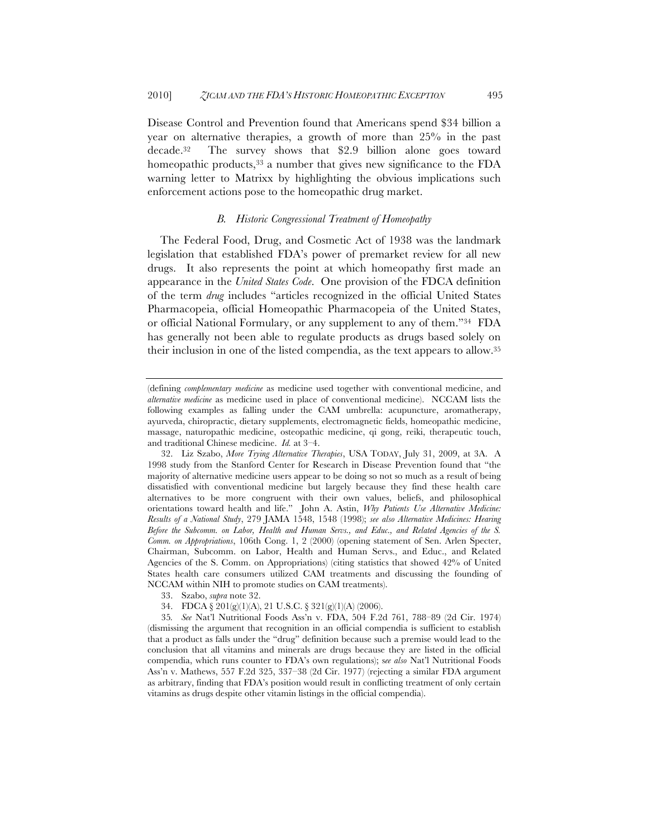Disease Control and Prevention found that Americans spend \$34 billion a year on alternative therapies, a growth of more than 25% in the past decade.32 The survey shows that \$2.9 billion alone goes toward homeopathic products,<sup>33</sup> a number that gives new significance to the FDA warning letter to Matrixx by highlighting the obvious implications such enforcement actions pose to the homeopathic drug market.

#### *B. Historic Congressional Treatment of Homeopathy*

The Federal Food, Drug, and Cosmetic Act of 1938 was the landmark legislation that established FDA's power of premarket review for all new drugs. It also represents the point at which homeopathy first made an appearance in the *United States Code*. One provision of the FDCA definition of the term *drug* includes "articles recognized in the official United States Pharmacopeia, official Homeopathic Pharmacopeia of the United States, or official National Formulary, or any supplement to any of them."34 FDA has generally not been able to regulate products as drugs based solely on their inclusion in one of the listed compendia, as the text appears to allow.35

<sup>(</sup>defining *complementary medicine* as medicine used together with conventional medicine, and *alternative medicine* as medicine used in place of conventional medicine). NCCAM lists the following examples as falling under the CAM umbrella: acupuncture, aromatherapy, ayurveda, chiropractic, dietary supplements, electromagnetic fields, homeopathic medicine, massage, naturopathic medicine, osteopathic medicine, qi gong, reiki, therapeutic touch, and traditional Chinese medicine. *Id.* at 3–4.

<sup>32.</sup> Liz Szabo, *More Trying Alternative Therapies*, USA TODAY, July 31, 2009, at 3A. A 1998 study from the Stanford Center for Research in Disease Prevention found that "the majority of alternative medicine users appear to be doing so not so much as a result of being dissatisfied with conventional medicine but largely because they find these health care alternatives to be more congruent with their own values, beliefs, and philosophical orientations toward health and life." John A. Astin, *Why Patients Use Alternative Medicine: Results of a National Study*, 279 JAMA 1548, 1548 (1998); *see also Alternative Medicines: Hearing Before the Subcomm. on Labor, Health and Human Servs., and Educ., and Related Agencies of the S. Comm. on Appropriations*, 106th Cong. 1, 2 (2000) (opening statement of Sen. Arlen Specter, Chairman, Subcomm. on Labor, Health and Human Servs., and Educ., and Related Agencies of the S. Comm. on Appropriations) (citing statistics that showed 42% of United States health care consumers utilized CAM treatments and discussing the founding of NCCAM within NIH to promote studies on CAM treatments).

<sup>33.</sup> Szabo, *supra* note 32.

<sup>34.</sup> FDCA § 201(g)(1)(A), 21 U.S.C. § 321(g)(1)(A) (2006).

<sup>35</sup>*. See* Nat'l Nutritional Foods Ass'n v. FDA, 504 F.2d 761, 788–89 (2d Cir. 1974) (dismissing the argument that recognition in an official compendia is sufficient to establish that a product as falls under the "drug" definition because such a premise would lead to the conclusion that all vitamins and minerals are drugs because they are listed in the official compendia, which runs counter to FDA's own regulations); s*ee also* Nat'l Nutritional Foods Ass'n v. Mathews, 557 F.2d 325, 337–38 (2d Cir. 1977) (rejecting a similar FDA argument as arbitrary, finding that FDA's position would result in conflicting treatment of only certain vitamins as drugs despite other vitamin listings in the official compendia).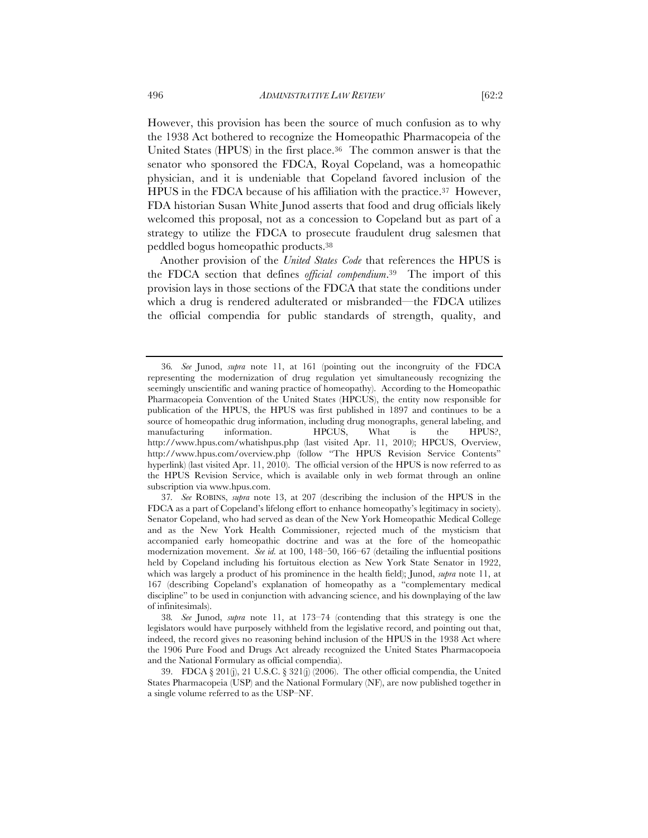However, this provision has been the source of much confusion as to why the 1938 Act bothered to recognize the Homeopathic Pharmacopeia of the United States (HPUS) in the first place.36 The common answer is that the senator who sponsored the FDCA, Royal Copeland, was a homeopathic physician, and it is undeniable that Copeland favored inclusion of the HPUS in the FDCA because of his affiliation with the practice.37 However, FDA historian Susan White Junod asserts that food and drug officials likely welcomed this proposal, not as a concession to Copeland but as part of a strategy to utilize the FDCA to prosecute fraudulent drug salesmen that peddled bogus homeopathic products.38

Another provision of the *United States Code* that references the HPUS is the FDCA section that defines *official compendium*.39 The import of this provision lays in those sections of the FDCA that state the conditions under which a drug is rendered adulterated or misbranded—the FDCA utilizes the official compendia for public standards of strength, quality, and

<sup>36</sup>*. See* Junod, *supra* note 11, at 161 (pointing out the incongruity of the FDCA representing the modernization of drug regulation yet simultaneously recognizing the seemingly unscientific and waning practice of homeopathy). According to the Homeopathic Pharmacopeia Convention of the United States (HPCUS), the entity now responsible for publication of the HPUS, the HPUS was first published in 1897 and continues to be a source of homeopathic drug information, including drug monographs, general labeling, and manufacturing information. HPCUS, What is the HPUS?, http://www.hpus.com/whatishpus.php (last visited Apr. 11, 2010); HPCUS, Overview, http://www.hpus.com/overview.php (follow "The HPUS Revision Service Contents" hyperlink) (last visited Apr. 11, 2010). The official version of the HPUS is now referred to as the HPUS Revision Service, which is available only in web format through an online subscription via www.hpus.com.

<sup>37</sup>*. See* ROBINS, *supra* note 13, at 207 (describing the inclusion of the HPUS in the FDCA as a part of Copeland's lifelong effort to enhance homeopathy's legitimacy in society). Senator Copeland, who had served as dean of the New York Homeopathic Medical College and as the New York Health Commissioner, rejected much of the mysticism that accompanied early homeopathic doctrine and was at the fore of the homeopathic modernization movement. *See id.* at 100, 148–50, 166–67 (detailing the influential positions held by Copeland including his fortuitous election as New York State Senator in 1922, which was largely a product of his prominence in the health field); Junod, *supra* note 11, at 167 (describing Copeland's explanation of homeopathy as a "complementary medical discipline" to be used in conjunction with advancing science, and his downplaying of the law of infinitesimals).

<sup>38</sup>*. See* Junod, *supra* note 11, at 173–74 (contending that this strategy is one the legislators would have purposely withheld from the legislative record, and pointing out that, indeed, the record gives no reasoning behind inclusion of the HPUS in the 1938 Act where the 1906 Pure Food and Drugs Act already recognized the United States Pharmacopoeia and the National Formulary as official compendia).

<sup>39.</sup> FDCA § 201(j), 21 U.S.C. § 321(j) (2006). The other official compendia, the United States Pharmacopeia (USP) and the National Formulary (NF), are now published together in a single volume referred to as the USP–NF.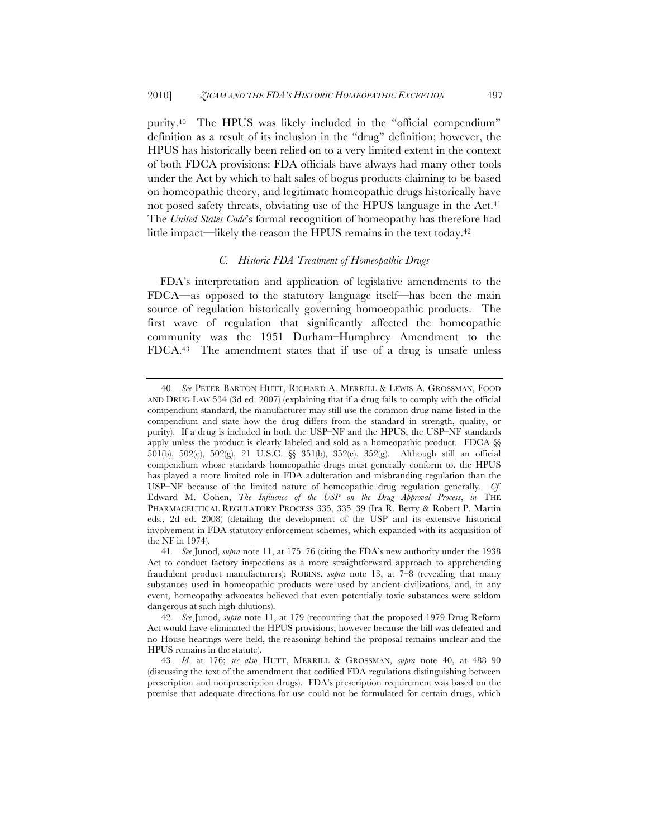purity.40 The HPUS was likely included in the "official compendium" definition as a result of its inclusion in the "drug" definition; however, the HPUS has historically been relied on to a very limited extent in the context of both FDCA provisions: FDA officials have always had many other tools under the Act by which to halt sales of bogus products claiming to be based on homeopathic theory, and legitimate homeopathic drugs historically have not posed safety threats, obviating use of the HPUS language in the Act.<sup>41</sup> The *United States Code*'s formal recognition of homeopathy has therefore had little impact—likely the reason the HPUS remains in the text today.42

# *C. Historic FDA Treatment of Homeopathic Drugs*

FDA's interpretation and application of legislative amendments to the FDCA—as opposed to the statutory language itself—has been the main source of regulation historically governing homoeopathic products. The first wave of regulation that significantly affected the homeopathic community was the 1951 Durham–Humphrey Amendment to the FDCA.43 The amendment states that if use of a drug is unsafe unless

<sup>40</sup>*. See* PETER BARTON HUTT, RICHARD A. MERRILL & LEWIS A. GROSSMAN, FOOD AND DRUG LAW 534 (3d ed. 2007) (explaining that if a drug fails to comply with the official compendium standard, the manufacturer may still use the common drug name listed in the compendium and state how the drug differs from the standard in strength, quality, or purity). If a drug is included in both the USP–NF and the HPUS, the USP–NF standards apply unless the product is clearly labeled and sold as a homeopathic product. FDCA §§ 501(b), 502(e), 502(g), 21 U.S.C. §§ 351(b), 352(e), 352(g). Although still an official compendium whose standards homeopathic drugs must generally conform to, the HPUS has played a more limited role in FDA adulteration and misbranding regulation than the USP–NF because of the limited nature of homeopathic drug regulation generally. *Cf.*  Edward M. Cohen, *The Influence of the USP on the Drug Approval Process*, *in* THE PHARMACEUTICAL REGULATORY PROCESS 335, 335–39 (Ira R. Berry & Robert P. Martin eds., 2d ed. 2008) (detailing the development of the USP and its extensive historical involvement in FDA statutory enforcement schemes, which expanded with its acquisition of the NF in 1974).

<sup>41</sup>*. See* Junod, *supra* note 11, at 175–76 (citing the FDA's new authority under the 1938 Act to conduct factory inspections as a more straightforward approach to apprehending fraudulent product manufacturers); ROBINS, *supra* note 13, at 7–8 (revealing that many substances used in homeopathic products were used by ancient civilizations, and, in any event, homeopathy advocates believed that even potentially toxic substances were seldom dangerous at such high dilutions).

<sup>42</sup>*. See* Junod, *supra* note 11, at 179 (recounting that the proposed 1979 Drug Reform Act would have eliminated the HPUS provisions; however because the bill was defeated and no House hearings were held, the reasoning behind the proposal remains unclear and the HPUS remains in the statute).

<sup>43</sup>*. Id.* at 176; *see also* HUTT, MERRILL & GROSSMAN, *supra* note 40, at 488–90 (discussing the text of the amendment that codified FDA regulations distinguishing between prescription and nonprescription drugs). FDA's prescription requirement was based on the premise that adequate directions for use could not be formulated for certain drugs, which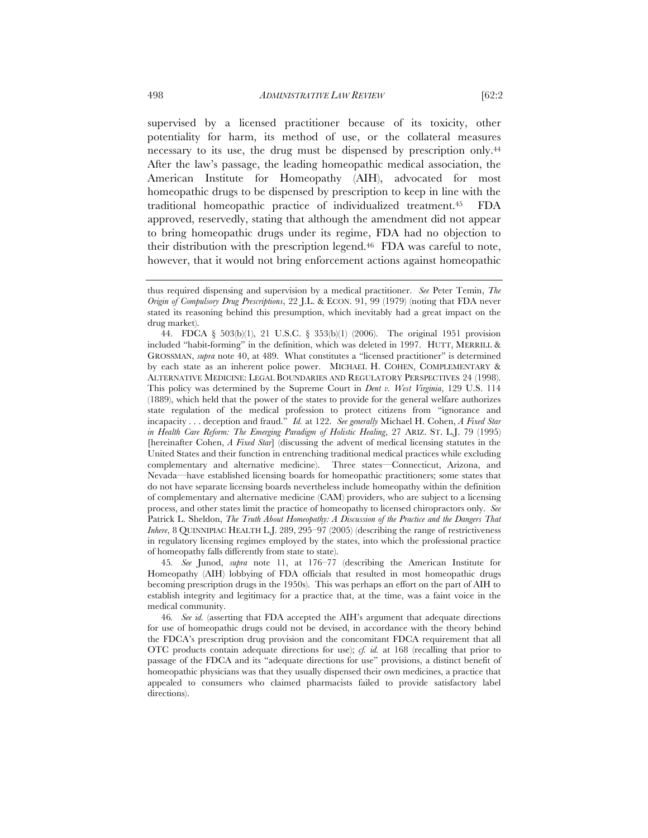supervised by a licensed practitioner because of its toxicity, other potentiality for harm, its method of use, or the collateral measures necessary to its use, the drug must be dispensed by prescription only.44 After the law's passage, the leading homeopathic medical association, the American Institute for Homeopathy (AIH), advocated for most homeopathic drugs to be dispensed by prescription to keep in line with the traditional homeopathic practice of individualized treatment.45 FDA approved, reservedly, stating that although the amendment did not appear to bring homeopathic drugs under its regime, FDA had no objection to their distribution with the prescription legend.46 FDA was careful to note, however, that it would not bring enforcement actions against homeopathic

45*. See* Junod, *supra* note 11, at 176–77 (describing the American Institute for Homeopathy (AIH) lobbying of FDA officials that resulted in most homeopathic drugs becoming prescription drugs in the 1950s). This was perhaps an effort on the part of AIH to establish integrity and legitimacy for a practice that, at the time, was a faint voice in the medical community.

46*. See id.* (asserting that FDA accepted the AIH's argument that adequate directions for use of homeopathic drugs could not be devised, in accordance with the theory behind the FDCA's prescription drug provision and the concomitant FDCA requirement that all OTC products contain adequate directions for use); *cf. id.* at 168 (recalling that prior to passage of the FDCA and its "adequate directions for use" provisions, a distinct benefit of homeopathic physicians was that they usually dispensed their own medicines, a practice that appealed to consumers who claimed pharmacists failed to provide satisfactory label directions).

thus required dispensing and supervision by a medical practitioner. *See* Peter Temin, *The Origin of Compulsory Drug Prescriptions*, 22 J.L. & ECON. 91, 99 (1979) (noting that FDA never stated its reasoning behind this presumption, which inevitably had a great impact on the drug market).

<sup>44.</sup> FDCA § 503(b)(1), 21 U.S.C. § 353(b)(1) (2006). The original 1951 provision included "habit-forming" in the definition, which was deleted in 1997. HUTT, MERRILL & GROSSMAN, *supra* note 40, at 489. What constitutes a "licensed practitioner" is determined by each state as an inherent police power. MICHAEL H. COHEN, COMPLEMENTARY & ALTERNATIVE MEDICINE: LEGAL BOUNDARIES AND REGULATORY PERSPECTIVES 24 (1998). This policy was determined by the Supreme Court in *Dent v. West Virginia*, 129 U.S. 114 (1889), which held that the power of the states to provide for the general welfare authorizes state regulation of the medical profession to protect citizens from "ignorance and incapacity . . . deception and fraud." *Id.* at 122. *See generally* Michael H. Cohen, *A Fixed Star in Health Care Reform: The Emerging Paradigm of Holistic Healing*, 27 ARIZ. ST. L.J. 79 (1995) [hereinafter Cohen, *A Fixed Star*] (discussing the advent of medical licensing statutes in the United States and their function in entrenching traditional medical practices while excluding complementary and alternative medicine). Three states—Connecticut, Arizona, and Nevada—have established licensing boards for homeopathic practitioners; some states that do not have separate licensing boards nevertheless include homeopathy within the definition of complementary and alternative medicine (CAM) providers, who are subject to a licensing process, and other states limit the practice of homeopathy to licensed chiropractors only. *See*  Patrick L. Sheldon, *The Truth About Homeopathy: A Discussion of the Practice and the Dangers That Inhere*, 8 QUINNIPIAC HEALTH L.J. 289, 295–97 (2005) (describing the range of restrictiveness in regulatory licensing regimes employed by the states, into which the professional practice of homeopathy falls differently from state to state).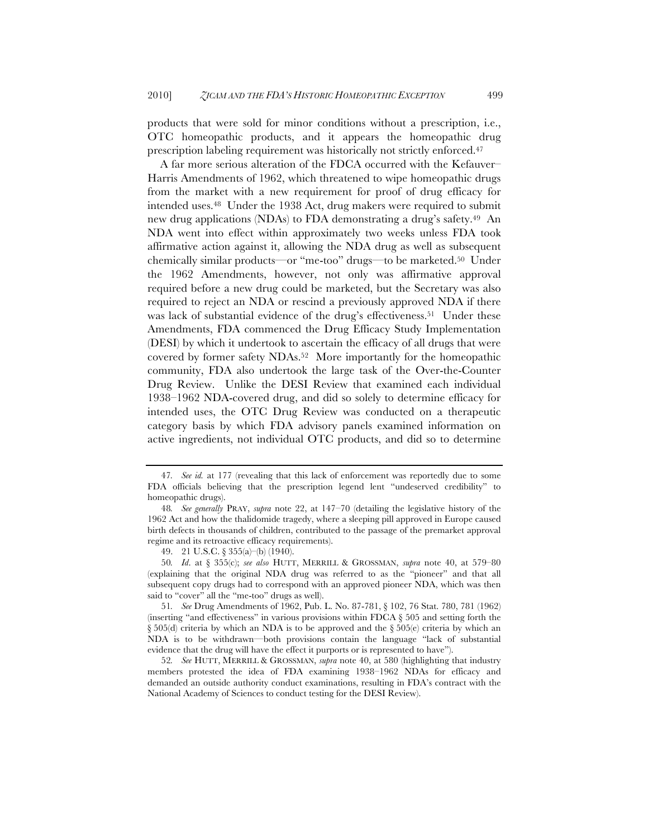products that were sold for minor conditions without a prescription, i.e., OTC homeopathic products, and it appears the homeopathic drug prescription labeling requirement was historically not strictly enforced.47

A far more serious alteration of the FDCA occurred with the Kefauver– Harris Amendments of 1962, which threatened to wipe homeopathic drugs from the market with a new requirement for proof of drug efficacy for intended uses.48 Under the 1938 Act, drug makers were required to submit new drug applications (NDAs) to FDA demonstrating a drug's safety.49 An NDA went into effect within approximately two weeks unless FDA took affirmative action against it, allowing the NDA drug as well as subsequent chemically similar products—or "me-too" drugs—to be marketed.50 Under the 1962 Amendments, however, not only was affirmative approval required before a new drug could be marketed, but the Secretary was also required to reject an NDA or rescind a previously approved NDA if there was lack of substantial evidence of the drug's effectiveness.<sup>51</sup> Under these Amendments, FDA commenced the Drug Efficacy Study Implementation (DESI) by which it undertook to ascertain the efficacy of all drugs that were covered by former safety NDAs.52 More importantly for the homeopathic community, FDA also undertook the large task of the Over-the-Counter Drug Review. Unlike the DESI Review that examined each individual 1938–1962 NDA-covered drug, and did so solely to determine efficacy for intended uses, the OTC Drug Review was conducted on a therapeutic category basis by which FDA advisory panels examined information on active ingredients, not individual OTC products, and did so to determine

<sup>47</sup>*. See id.* at 177 (revealing that this lack of enforcement was reportedly due to some FDA officials believing that the prescription legend lent "undeserved credibility" to homeopathic drugs).

<sup>48</sup>*. See generally* PRAY, *supra* note 22, at 147–70 (detailing the legislative history of the 1962 Act and how the thalidomide tragedy, where a sleeping pill approved in Europe caused birth defects in thousands of children, contributed to the passage of the premarket approval regime and its retroactive efficacy requirements).

<sup>49.</sup> 21 U.S.C. § 355(a)–(b) (1940).

<sup>50</sup>*. Id*. at § 355(c); *see also* HUTT, MERRILL & GROSSMAN, *supra* note 40, at 579–80 (explaining that the original NDA drug was referred to as the "pioneer" and that all subsequent copy drugs had to correspond with an approved pioneer NDA, which was then said to "cover" all the "me-too" drugs as well).

<sup>51</sup>*. See* Drug Amendments of 1962, Pub. L. No. 87-781, § 102, 76 Stat. 780, 781 (1962) (inserting "and effectiveness" in various provisions within FDCA § 505 and setting forth the  $\S 505(d)$  criteria by which an NDA is to be approved and the  $\S 505(e)$  criteria by which an NDA is to be withdrawn—both provisions contain the language "lack of substantial evidence that the drug will have the effect it purports or is represented to have").

<sup>52</sup>*. See* HUTT, MERRILL & GROSSMAN, *supra* note 40, at 580 (highlighting that industry members protested the idea of FDA examining 1938–1962 NDAs for efficacy and demanded an outside authority conduct examinations, resulting in FDA's contract with the National Academy of Sciences to conduct testing for the DESI Review).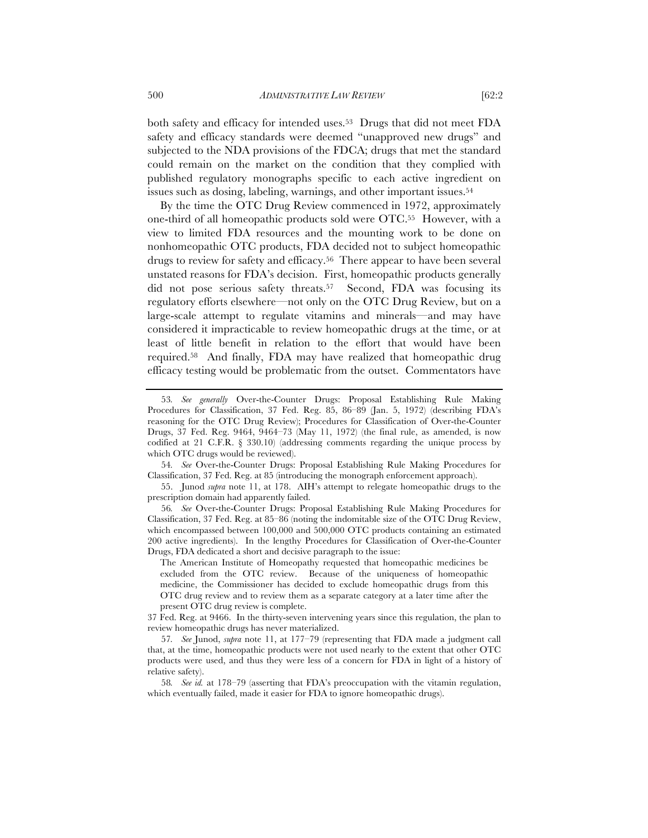both safety and efficacy for intended uses.53 Drugs that did not meet FDA safety and efficacy standards were deemed "unapproved new drugs" and subjected to the NDA provisions of the FDCA; drugs that met the standard could remain on the market on the condition that they complied with published regulatory monographs specific to each active ingredient on issues such as dosing, labeling, warnings, and other important issues.54

By the time the OTC Drug Review commenced in 1972, approximately one-third of all homeopathic products sold were OTC.55 However, with a view to limited FDA resources and the mounting work to be done on nonhomeopathic OTC products, FDA decided not to subject homeopathic drugs to review for safety and efficacy.56 There appear to have been several unstated reasons for FDA's decision. First, homeopathic products generally did not pose serious safety threats.<sup>57</sup> Second, FDA was focusing its regulatory efforts elsewhere—not only on the OTC Drug Review, but on a large-scale attempt to regulate vitamins and minerals—and may have considered it impracticable to review homeopathic drugs at the time, or at least of little benefit in relation to the effort that would have been required.58 And finally, FDA may have realized that homeopathic drug efficacy testing would be problematic from the outset. Commentators have

<sup>53</sup>*. See generally* Over-the-Counter Drugs: Proposal Establishing Rule Making Procedures for Classification, 37 Fed. Reg. 85, 86–89 (Jan. 5, 1972) (describing FDA's reasoning for the OTC Drug Review); Procedures for Classification of Over-the-Counter Drugs, 37 Fed. Reg. 9464, 9464–73 (May 11, 1972) (the final rule, as amended, is now codified at 21 C.F.R. § 330.10) (addressing comments regarding the unique process by which OTC drugs would be reviewed).

<sup>54</sup>*. See* Over-the-Counter Drugs: Proposal Establishing Rule Making Procedures for Classification, 37 Fed. Reg. at 85 (introducing the monograph enforcement approach).

<sup>55.</sup> Junod *supra* note 11, at 178. AIH's attempt to relegate homeopathic drugs to the prescription domain had apparently failed.

<sup>56</sup>*. See* Over-the-Counter Drugs: Proposal Establishing Rule Making Procedures for Classification, 37 Fed. Reg. at 85–86 (noting the indomitable size of the OTC Drug Review, which encompassed between 100,000 and 500,000 OTC products containing an estimated 200 active ingredients). In the lengthy Procedures for Classification of Over-the-Counter Drugs, FDA dedicated a short and decisive paragraph to the issue:

The American Institute of Homeopathy requested that homeopathic medicines be excluded from the OTC review. Because of the uniqueness of homeopathic medicine, the Commissioner has decided to exclude homeopathic drugs from this OTC drug review and to review them as a separate category at a later time after the present OTC drug review is complete.

<sup>37</sup> Fed. Reg. at 9466. In the thirty-seven intervening years since this regulation, the plan to review homeopathic drugs has never materialized.

<sup>57</sup>*. See* Junod, *supra* note 11, at 177–79 (representing that FDA made a judgment call that, at the time, homeopathic products were not used nearly to the extent that other OTC products were used, and thus they were less of a concern for FDA in light of a history of relative safety).

<sup>58</sup>*. See id.* at 178–79 (asserting that FDA's preoccupation with the vitamin regulation, which eventually failed, made it easier for FDA to ignore homeopathic drugs).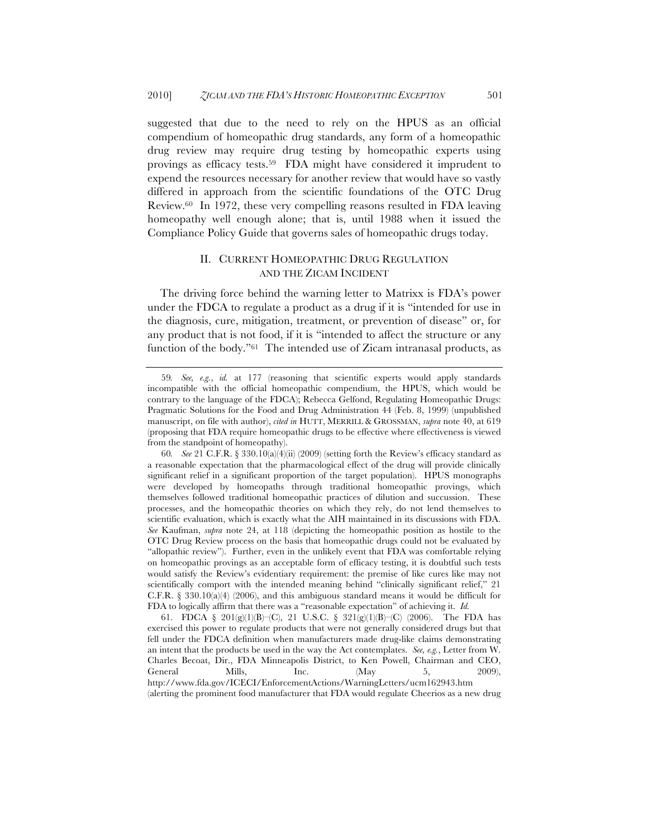suggested that due to the need to rely on the HPUS as an official compendium of homeopathic drug standards, any form of a homeopathic drug review may require drug testing by homeopathic experts using provings as efficacy tests.59 FDA might have considered it imprudent to expend the resources necessary for another review that would have so vastly differed in approach from the scientific foundations of the OTC Drug Review.60 In 1972, these very compelling reasons resulted in FDA leaving homeopathy well enough alone; that is, until 1988 when it issued the Compliance Policy Guide that governs sales of homeopathic drugs today.

# II. CURRENT HOMEOPATHIC DRUG REGULATION AND THE ZICAM INCIDENT

The driving force behind the warning letter to Matrixx is FDA's power under the FDCA to regulate a product as a drug if it is "intended for use in the diagnosis, cure, mitigation, treatment, or prevention of disease" or, for any product that is not food, if it is "intended to affect the structure or any function of the body."61 The intended use of Zicam intranasal products, as

<sup>59</sup>*. See, e.g.*, *id.* at 177 (reasoning that scientific experts would apply standards incompatible with the official homeopathic compendium, the HPUS, which would be contrary to the language of the FDCA); Rebecca Gelfond, Regulating Homeopathic Drugs: Pragmatic Solutions for the Food and Drug Administration 44 (Feb. 8, 1999) (unpublished manuscript, on file with author), *cited in* HUTT, MERRILL & GROSSMAN, *supra* note 40, at 619 (proposing that FDA require homeopathic drugs to be effective where effectiveness is viewed from the standpoint of homeopathy).

<sup>60</sup>*. See* 21 C.F.R. § 330.10(a)(4)(ii) (2009) (setting forth the Review's efficacy standard as a reasonable expectation that the pharmacological effect of the drug will provide clinically significant relief in a significant proportion of the target population). HPUS monographs were developed by homeopaths through traditional homeopathic provings, which themselves followed traditional homeopathic practices of dilution and succussion. These processes, and the homeopathic theories on which they rely, do not lend themselves to scientific evaluation, which is exactly what the AIH maintained in its discussions with FDA. *See* Kaufman, *supra* note 24, at 118 (depicting the homeopathic position as hostile to the OTC Drug Review process on the basis that homeopathic drugs could not be evaluated by "allopathic review"). Further, even in the unlikely event that FDA was comfortable relying on homeopathic provings as an acceptable form of efficacy testing, it is doubtful such tests would satisfy the Review's evidentiary requirement: the premise of like cures like may not scientifically comport with the intended meaning behind "clinically significant relief," 21 C.F.R.  $\S$  330.10(a)(4) (2006), and this ambiguous standard means it would be difficult for FDA to logically affirm that there was a "reasonable expectation" of achieving it. *Id.*

<sup>61.</sup> FDCA § 201(g)(1)(B)–(C), 21 U.S.C. § 321(g)(1)(B)–(C) (2006). The FDA has exercised this power to regulate products that were not generally considered drugs but that fell under the FDCA definition when manufacturers made drug-like claims demonstrating an intent that the products be used in the way the Act contemplates. *See, e.g.*, Letter from W. Charles Becoat, Dir., FDA Minneapolis District, to Ken Powell, Chairman and CEO, General Mills, Inc. (May 5, 2009), http://www.fda.gov/ICECI/EnforcementActions/WarningLetters/ucm162943.htm (alerting the prominent food manufacturer that FDA would regulate Cheerios as a new drug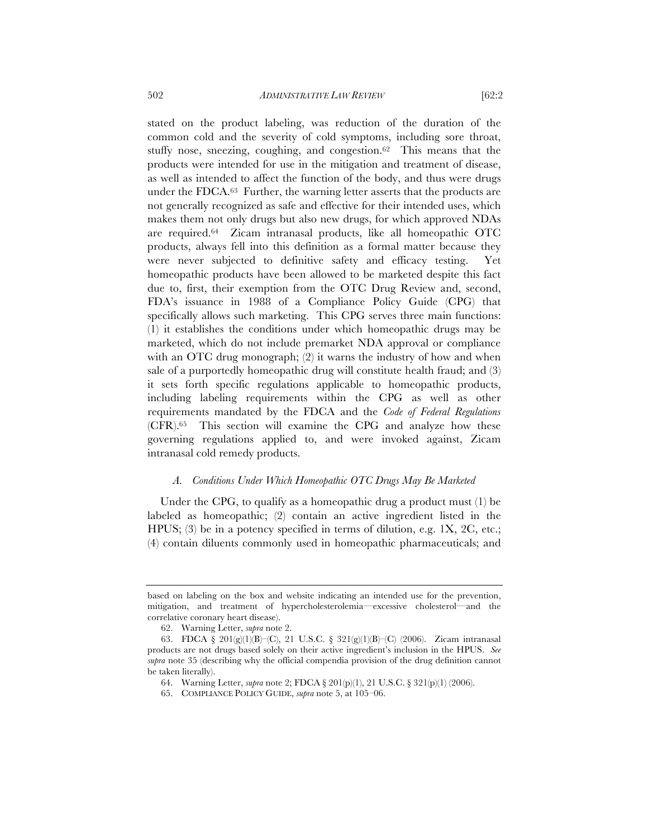stated on the product labeling, was reduction of the duration of the common cold and the severity of cold symptoms, including sore throat, stuffy nose, sneezing, coughing, and congestion.62 This means that the products were intended for use in the mitigation and treatment of disease, as well as intended to affect the function of the body, and thus were drugs under the FDCA.63 Further, the warning letter asserts that the products are not generally recognized as safe and effective for their intended uses, which makes them not only drugs but also new drugs, for which approved NDAs are required.64 Zicam intranasal products, like all homeopathic OTC products, always fell into this definition as a formal matter because they were never subjected to definitive safety and efficacy testing. Yet homeopathic products have been allowed to be marketed despite this fact due to, first, their exemption from the OTC Drug Review and, second, FDA's issuance in 1988 of a Compliance Policy Guide (CPG) that specifically allows such marketing. This CPG serves three main functions: (1) it establishes the conditions under which homeopathic drugs may be marketed, which do not include premarket NDA approval or compliance with an OTC drug monograph; (2) it warns the industry of how and when sale of a purportedly homeopathic drug will constitute health fraud; and (3) it sets forth specific regulations applicable to homeopathic products, including labeling requirements within the CPG as well as other requirements mandated by the FDCA and the *Code of Federal Regulations* (CFR).65 This section will examine the CPG and analyze how these governing regulations applied to, and were invoked against, Zicam intranasal cold remedy products.

#### *A. Conditions Under Which Homeopathic OTC Drugs May Be Marketed*

Under the CPG, to qualify as a homeopathic drug a product must (1) be labeled as homeopathic; (2) contain an active ingredient listed in the HPUS; (3) be in a potency specified in terms of dilution, e.g. 1X, 2C, etc.; (4) contain diluents commonly used in homeopathic pharmaceuticals; and

based on labeling on the box and website indicating an intended use for the prevention, mitigation, and treatment of hypercholesterolemia—excessive cholesterol—and the correlative coronary heart disease).

<sup>62.</sup> Warning Letter, *supra* note 2.

<sup>63.</sup> FDCA § 201(g)(1)(B)–(C), 21 U.S.C. § 321(g)(1)(B)–(C) (2006). Zicam intranasal products are not drugs based solely on their active ingredient's inclusion in the HPUS. *See supra* note 35 (describing why the official compendia provision of the drug definition cannot be taken literally).

<sup>64.</sup> Warning Letter, *supra* note 2; FDCA § 201(p)(1), 21 U.S.C. § 321(p)(1) (2006).

<sup>65.</sup> COMPLIANCE POLICY GUIDE, *supra* note 5, at 105–06.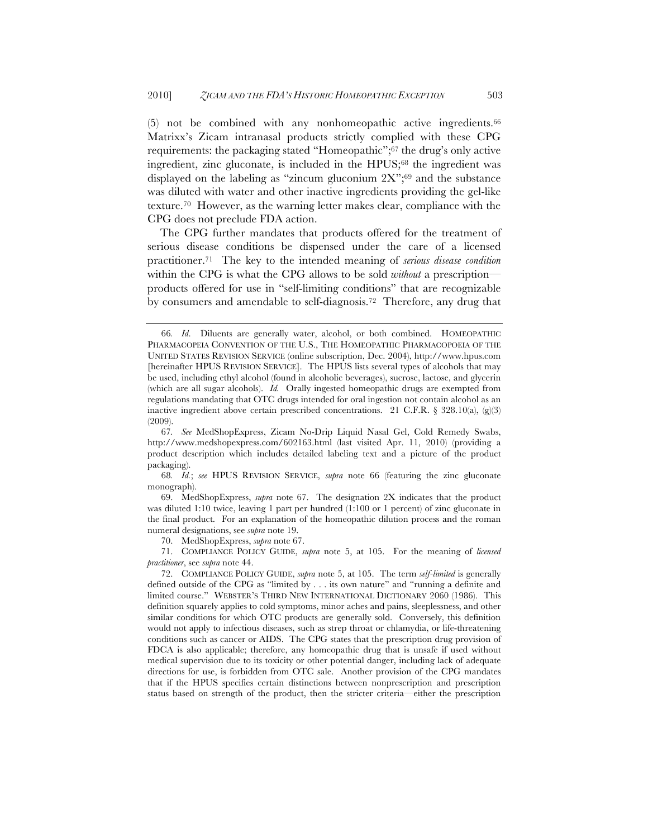(5) not be combined with any nonhomeopathic active ingredients.66 Matrixx's Zicam intranasal products strictly complied with these CPG requirements: the packaging stated "Homeopathic";67 the drug's only active ingredient, zinc gluconate, is included in the HPUS;<sup>68</sup> the ingredient was displayed on the labeling as "zincum gluconium  $2X$ ";<sup>69</sup> and the substance was diluted with water and other inactive ingredients providing the gel-like texture.70 However, as the warning letter makes clear, compliance with the CPG does not preclude FDA action.

The CPG further mandates that products offered for the treatment of serious disease conditions be dispensed under the care of a licensed practitioner.71 The key to the intended meaning of *serious disease condition* within the CPG is what the CPG allows to be sold *without* a prescription products offered for use in "self-limiting conditions" that are recognizable by consumers and amendable to self-diagnosis.72 Therefore, any drug that

<sup>66</sup>*. Id*. Diluents are generally water, alcohol, or both combined. HOMEOPATHIC PHARMACOPEIA CONVENTION OF THE U.S., THE HOMEOPATHIC PHARMACOPOEIA OF THE UNITED STATES REVISION SERVICE (online subscription, Dec. 2004), http://www.hpus.com [hereinafter HPUS REVISION SERVICE]. The HPUS lists several types of alcohols that may be used, including ethyl alcohol (found in alcoholic beverages), sucrose, lactose, and glycerin (which are all sugar alcohols). *Id.* Orally ingested homeopathic drugs are exempted from regulations mandating that OTC drugs intended for oral ingestion not contain alcohol as an inactive ingredient above certain prescribed concentrations. 21 C.F.R.  $\S$  328.10(a), (g)(3) (2009).

<sup>67</sup>*. See* MedShopExpress, Zicam No-Drip Liquid Nasal Gel, Cold Remedy Swabs, http://www.medshopexpress.com/602163.html (last visited Apr. 11, 2010) (providing a product description which includes detailed labeling text and a picture of the product packaging).

<sup>68</sup>*. Id.*; *see* HPUS REVISION SERVICE, *supra* note 66 (featuring the zinc gluconate monograph).

<sup>69.</sup> MedShopExpress, *supra* note 67. The designation 2X indicates that the product was diluted 1:10 twice, leaving 1 part per hundred (1:100 or 1 percent) of zinc gluconate in the final product. For an explanation of the homeopathic dilution process and the roman numeral designations, see *supra* note 19.

<sup>70.</sup> MedShopExpress, *supra* note 67.

<sup>71.</sup> COMPLIANCE POLICY GUIDE, *supra* note 5, at 105. For the meaning of *licensed practitioner*, see *supra* note 44.

<sup>72.</sup> COMPLIANCE POLICY GUIDE, *supra* note 5, at 105. The term *self-limited* is generally defined outside of the CPG as "limited by . . . its own nature" and "running a definite and limited course." WEBSTER'S THIRD NEW INTERNATIONAL DICTIONARY 2060 (1986). This definition squarely applies to cold symptoms, minor aches and pains, sleeplessness, and other similar conditions for which OTC products are generally sold. Conversely, this definition would not apply to infectious diseases, such as strep throat or chlamydia, or life-threatening conditions such as cancer or AIDS. The CPG states that the prescription drug provision of FDCA is also applicable; therefore, any homeopathic drug that is unsafe if used without medical supervision due to its toxicity or other potential danger, including lack of adequate directions for use, is forbidden from OTC sale. Another provision of the CPG mandates that if the HPUS specifies certain distinctions between nonprescription and prescription status based on strength of the product, then the stricter criteria—either the prescription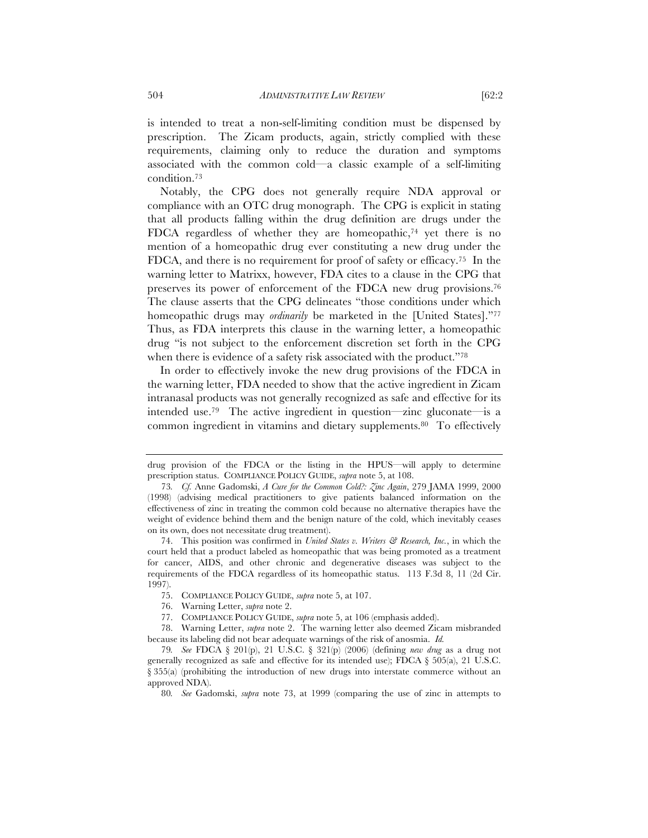is intended to treat a non-self-limiting condition must be dispensed by prescription. The Zicam products, again, strictly complied with these requirements, claiming only to reduce the duration and symptoms associated with the common cold—a classic example of a self-limiting condition.73

Notably, the CPG does not generally require NDA approval or compliance with an OTC drug monograph. The CPG is explicit in stating that all products falling within the drug definition are drugs under the FDCA regardless of whether they are homeopathic,74 yet there is no mention of a homeopathic drug ever constituting a new drug under the FDCA, and there is no requirement for proof of safety or efficacy.75 In the warning letter to Matrixx, however, FDA cites to a clause in the CPG that preserves its power of enforcement of the FDCA new drug provisions.76 The clause asserts that the CPG delineates "those conditions under which homeopathic drugs may *ordinarily* be marketed in the [United States]."77 Thus, as FDA interprets this clause in the warning letter, a homeopathic drug "is not subject to the enforcement discretion set forth in the CPG when there is evidence of a safety risk associated with the product."<sup>78</sup>

In order to effectively invoke the new drug provisions of the FDCA in the warning letter, FDA needed to show that the active ingredient in Zicam intranasal products was not generally recognized as safe and effective for its intended use.79 The active ingredient in question—zinc gluconate—is a common ingredient in vitamins and dietary supplements.80 To effectively

drug provision of the FDCA or the listing in the HPUS—will apply to determine prescription status. COMPLIANCE POLICY GUIDE, *supra* note 5, at 108.

<sup>73</sup>*. Cf.* Anne Gadomski, *A Cure for the Common Cold?: Zinc Again*, 279 JAMA 1999, 2000 (1998) (advising medical practitioners to give patients balanced information on the effectiveness of zinc in treating the common cold because no alternative therapies have the weight of evidence behind them and the benign nature of the cold, which inevitably ceases on its own, does not necessitate drug treatment).

<sup>74.</sup> This position was confirmed in *United States v. Writers & Research, Inc.*, in which the court held that a product labeled as homeopathic that was being promoted as a treatment for cancer, AIDS, and other chronic and degenerative diseases was subject to the requirements of the FDCA regardless of its homeopathic status. 113 F.3d 8, 11 (2d Cir. 1997).

<sup>75.</sup> COMPLIANCE POLICY GUIDE, *supra* note 5, at 107.

<sup>76.</sup> Warning Letter, *supra* note 2.

<sup>77.</sup> COMPLIANCE POLICY GUIDE, *supra* note 5, at 106 (emphasis added).

<sup>78.</sup> Warning Letter, *supra* note 2. The warning letter also deemed Zicam misbranded because its labeling did not bear adequate warnings of the risk of anosmia. *Id.*

<sup>79</sup>*. See* FDCA § 201(p), 21 U.S.C. § 321(p) (2006) (defining *new drug* as a drug not generally recognized as safe and effective for its intended use); FDCA  $\S$  505(a), 21 U.S.C. § 355(a) (prohibiting the introduction of new drugs into interstate commerce without an approved NDA).

<sup>80</sup>*. See* Gadomski, *supra* note 73, at 1999 (comparing the use of zinc in attempts to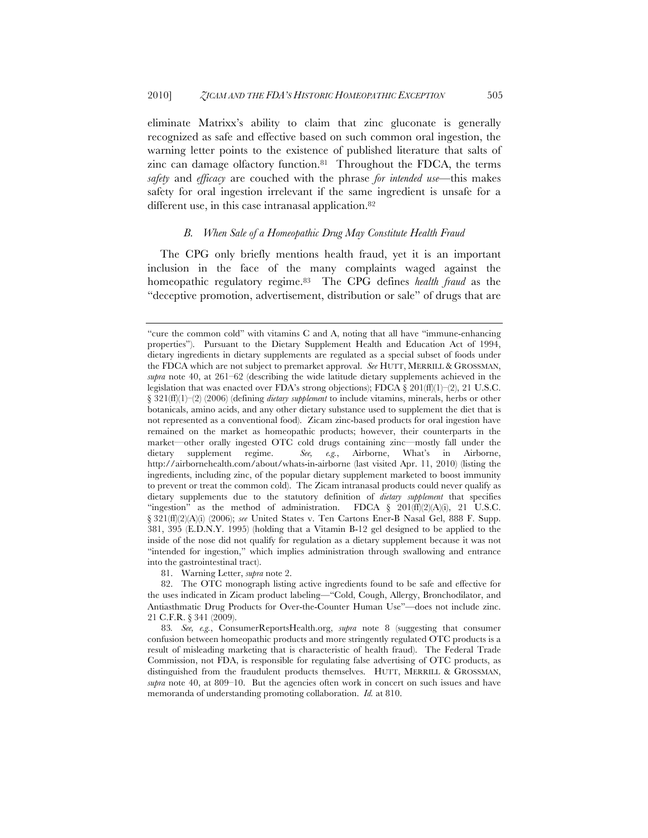eliminate Matrixx's ability to claim that zinc gluconate is generally recognized as safe and effective based on such common oral ingestion, the warning letter points to the existence of published literature that salts of zinc can damage olfactory function.<sup>81</sup> Throughout the FDCA, the terms *safety* and *efficacy* are couched with the phrase *for intended use*—this makes safety for oral ingestion irrelevant if the same ingredient is unsafe for a different use, in this case intranasal application.<sup>82</sup>

# *B. When Sale of a Homeopathic Drug May Constitute Health Fraud*

The CPG only briefly mentions health fraud, yet it is an important inclusion in the face of the many complaints waged against the homeopathic regulatory regime.83 The CPG defines *health fraud* as the "deceptive promotion, advertisement, distribution or sale" of drugs that are

81. Warning Letter, *supra* note 2.

<sup>&</sup>quot;cure the common cold" with vitamins C and A, noting that all have "immune-enhancing properties"). Pursuant to the Dietary Supplement Health and Education Act of 1994, dietary ingredients in dietary supplements are regulated as a special subset of foods under the FDCA which are not subject to premarket approval. *See* HUTT, MERRILL & GROSSMAN, *supra* note 40, at 261–62 (describing the wide latitude dietary supplements achieved in the legislation that was enacted over FDA's strong objections); FDCA  $\S 201(\text{ff})(1)$ –(2), 21 U.S.C. § 321(ff)(1)–(2) (2006) (defining *dietary supplement* to include vitamins, minerals, herbs or other botanicals, amino acids, and any other dietary substance used to supplement the diet that is not represented as a conventional food). Zicam zinc-based products for oral ingestion have remained on the market as homeopathic products; however, their counterparts in the market—other orally ingested OTC cold drugs containing zinc—mostly fall under the dietary supplement regime. *See, e.g.*, Airborne, What's in Airborne, http://airbornehealth.com/about/whats-in-airborne (last visited Apr. 11, 2010) (listing the ingredients, including zinc, of the popular dietary supplement marketed to boost immunity to prevent or treat the common cold). The Zicam intranasal products could never qualify as dietary supplements due to the statutory definition of *dietary supplement* that specifies "ingestion" as the method of administration. FDCA  $\S$  201(ff)(2)(A)(i), 21 U.S.C. § 321(ff)(2)(A)(i) (2006); *see* United States v. Ten Cartons Ener-B Nasal Gel, 888 F. Supp. 381, 395 (E.D.N.Y. 1995) (holding that a Vitamin B-12 gel designed to be applied to the inside of the nose did not qualify for regulation as a dietary supplement because it was not "intended for ingestion," which implies administration through swallowing and entrance into the gastrointestinal tract).

<sup>82.</sup> The OTC monograph listing active ingredients found to be safe and effective for the uses indicated in Zicam product labeling—"Cold, Cough, Allergy, Bronchodilator, and Antiasthmatic Drug Products for Over-the-Counter Human Use"—does not include zinc. 21 C.F.R. § 341 (2009).

<sup>83</sup>*. See, e.g.*, ConsumerReportsHealth.org, *supra* note 8 (suggesting that consumer confusion between homeopathic products and more stringently regulated OTC products is a result of misleading marketing that is characteristic of health fraud). The Federal Trade Commission, not FDA, is responsible for regulating false advertising of OTC products, as distinguished from the fraudulent products themselves. HUTT, MERRILL & GROSSMAN, *supra* note 40, at 809–10. But the agencies often work in concert on such issues and have memoranda of understanding promoting collaboration. *Id.* at 810.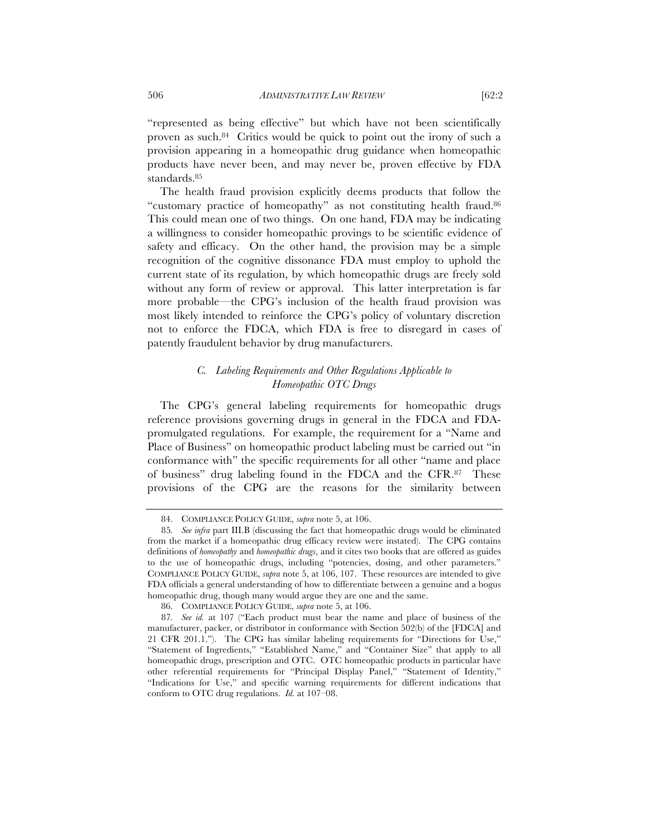"represented as being effective" but which have not been scientifically proven as such.84 Critics would be quick to point out the irony of such a provision appearing in a homeopathic drug guidance when homeopathic products have never been, and may never be, proven effective by FDA standards.85

The health fraud provision explicitly deems products that follow the "customary practice of homeopathy" as not constituting health fraud.86 This could mean one of two things. On one hand, FDA may be indicating a willingness to consider homeopathic provings to be scientific evidence of safety and efficacy. On the other hand, the provision may be a simple recognition of the cognitive dissonance FDA must employ to uphold the current state of its regulation, by which homeopathic drugs are freely sold without any form of review or approval. This latter interpretation is far more probable—the CPG's inclusion of the health fraud provision was most likely intended to reinforce the CPG's policy of voluntary discretion not to enforce the FDCA, which FDA is free to disregard in cases of patently fraudulent behavior by drug manufacturers.

# *C. Labeling Requirements and Other Regulations Applicable to Homeopathic OTC Drugs*

The CPG's general labeling requirements for homeopathic drugs reference provisions governing drugs in general in the FDCA and FDApromulgated regulations. For example, the requirement for a "Name and Place of Business" on homeopathic product labeling must be carried out "in conformance with" the specific requirements for all other "name and place of business" drug labeling found in the FDCA and the CFR.87 These provisions of the CPG are the reasons for the similarity between

<sup>84.</sup> COMPLIANCE POLICY GUIDE, *supra* note 5, at 106.

<sup>85</sup>*. See infra* part III.B (discussing the fact that homeopathic drugs would be eliminated from the market if a homeopathic drug efficacy review were instated). The CPG contains definitions of *homeopathy* and *homeopathic drugs*, and it cites two books that are offered as guides to the use of homeopathic drugs, including "potencies, dosing, and other parameters." COMPLIANCE POLICY GUIDE, *supra* note 5, at 106, 107. These resources are intended to give FDA officials a general understanding of how to differentiate between a genuine and a bogus homeopathic drug, though many would argue they are one and the same.

<sup>86.</sup> COMPLIANCE POLICY GUIDE, *supra* note 5, at 106.

<sup>87</sup>*. See id.* at 107 ("Each product must bear the name and place of business of the manufacturer, packer, or distributor in conformance with Section 502(b) of the [FDCA] and 21 CFR 201.1."). The CPG has similar labeling requirements for "Directions for Use," "Statement of Ingredients," "Established Name," and "Container Size" that apply to all homeopathic drugs, prescription and OTC. OTC homeopathic products in particular have other referential requirements for "Principal Display Panel," "Statement of Identity," "Indications for Use," and specific warning requirements for different indications that conform to OTC drug regulations. *Id.* at 107–08.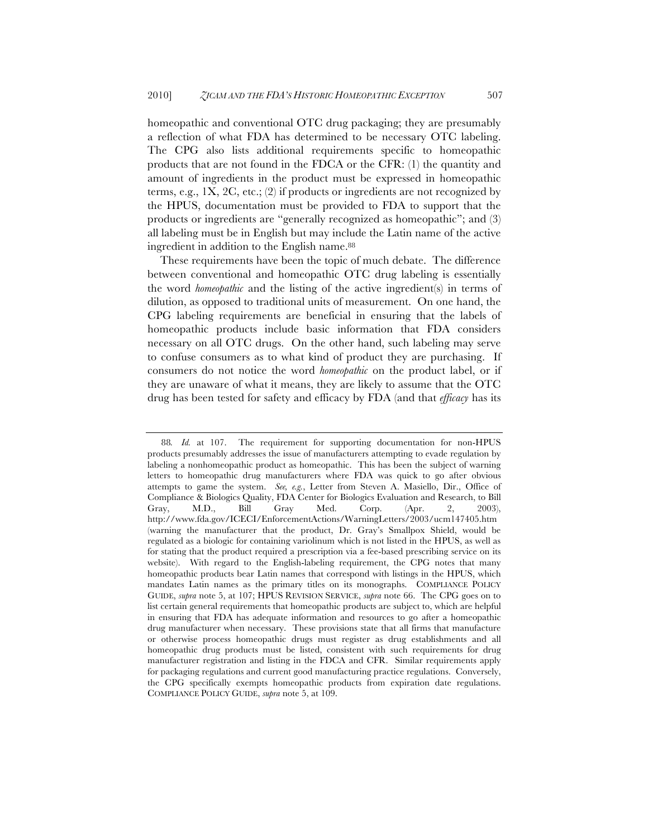homeopathic and conventional OTC drug packaging; they are presumably a reflection of what FDA has determined to be necessary OTC labeling. The CPG also lists additional requirements specific to homeopathic products that are not found in the FDCA or the CFR: (1) the quantity and amount of ingredients in the product must be expressed in homeopathic terms, e.g., 1X, 2C, etc.; (2) if products or ingredients are not recognized by the HPUS, documentation must be provided to FDA to support that the products or ingredients are "generally recognized as homeopathic"; and (3) all labeling must be in English but may include the Latin name of the active ingredient in addition to the English name.88

These requirements have been the topic of much debate. The difference between conventional and homeopathic OTC drug labeling is essentially the word *homeopathic* and the listing of the active ingredient(s) in terms of dilution, as opposed to traditional units of measurement. On one hand, the CPG labeling requirements are beneficial in ensuring that the labels of homeopathic products include basic information that FDA considers necessary on all OTC drugs. On the other hand, such labeling may serve to confuse consumers as to what kind of product they are purchasing. If consumers do not notice the word *homeopathic* on the product label, or if they are unaware of what it means, they are likely to assume that the OTC drug has been tested for safety and efficacy by FDA (and that *efficacy* has its

<sup>88</sup>*. Id.* at 107. The requirement for supporting documentation for non-HPUS products presumably addresses the issue of manufacturers attempting to evade regulation by labeling a nonhomeopathic product as homeopathic. This has been the subject of warning letters to homeopathic drug manufacturers where FDA was quick to go after obvious attempts to game the system. *See, e.g.*, Letter from Steven A. Masiello, Dir., Office of Compliance & Biologics Quality, FDA Center for Biologics Evaluation and Research, to Bill Gray, M.D., Bill Gray Med. Corp. (Apr. 2, 2003), http://www.fda.gov/ICECI/EnforcementActions/WarningLetters/2003/ucm147405.htm (warning the manufacturer that the product, Dr. Gray's Smallpox Shield, would be regulated as a biologic for containing variolinum which is not listed in the HPUS, as well as for stating that the product required a prescription via a fee-based prescribing service on its website). With regard to the English-labeling requirement, the CPG notes that many homeopathic products bear Latin names that correspond with listings in the HPUS, which mandates Latin names as the primary titles on its monographs. COMPLIANCE POLICY GUIDE, *supra* note 5, at 107; HPUS REVISION SERVICE, *supra* note 66. The CPG goes on to list certain general requirements that homeopathic products are subject to, which are helpful in ensuring that FDA has adequate information and resources to go after a homeopathic drug manufacturer when necessary. These provisions state that all firms that manufacture or otherwise process homeopathic drugs must register as drug establishments and all homeopathic drug products must be listed, consistent with such requirements for drug manufacturer registration and listing in the FDCA and CFR. Similar requirements apply for packaging regulations and current good manufacturing practice regulations. Conversely, the CPG specifically exempts homeopathic products from expiration date regulations. COMPLIANCE POLICY GUIDE, *supra* note 5, at 109.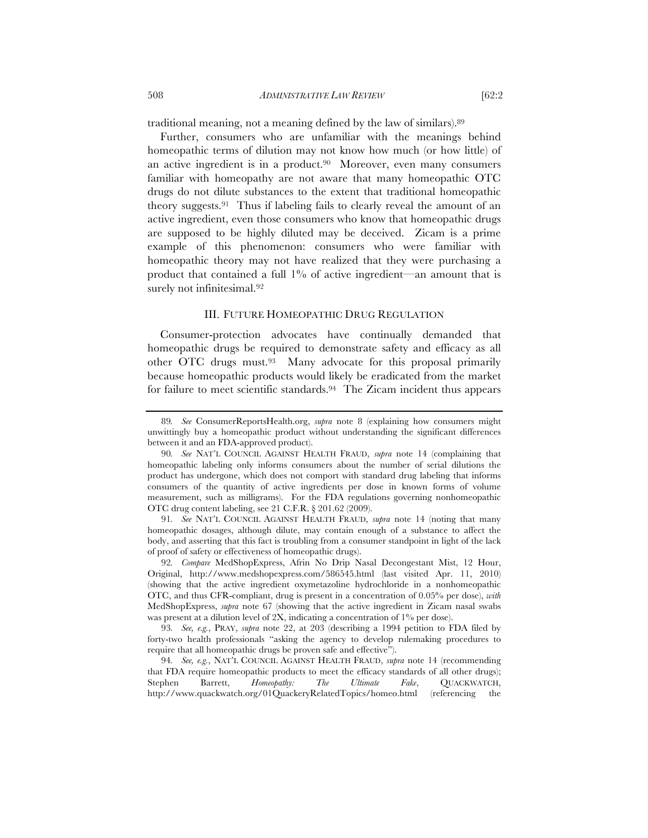traditional meaning, not a meaning defined by the law of similars).89

Further, consumers who are unfamiliar with the meanings behind homeopathic terms of dilution may not know how much (or how little) of an active ingredient is in a product. $90\,$  Moreover, even many consumers familiar with homeopathy are not aware that many homeopathic OTC drugs do not dilute substances to the extent that traditional homeopathic theory suggests.91 Thus if labeling fails to clearly reveal the amount of an active ingredient, even those consumers who know that homeopathic drugs are supposed to be highly diluted may be deceived. Zicam is a prime example of this phenomenon: consumers who were familiar with homeopathic theory may not have realized that they were purchasing a product that contained a full 1% of active ingredient—an amount that is surely not infinitesimal.<sup>92</sup>

#### III. FUTURE HOMEOPATHIC DRUG REGULATION

Consumer-protection advocates have continually demanded that homeopathic drugs be required to demonstrate safety and efficacy as all other OTC drugs must.93 Many advocate for this proposal primarily because homeopathic products would likely be eradicated from the market for failure to meet scientific standards.94 The Zicam incident thus appears

91*. See* NAT'L COUNCIL AGAINST HEALTH FRAUD, *supra* note 14 (noting that many homeopathic dosages, although dilute, may contain enough of a substance to affect the body, and asserting that this fact is troubling from a consumer standpoint in light of the lack of proof of safety or effectiveness of homeopathic drugs).

92*. Compare* MedShopExpress, Afrin No Drip Nasal Decongestant Mist, 12 Hour, Original, http://www.medshopexpress.com/586545.html (last visited Apr. 11, 2010) (showing that the active ingredient oxymetazoline hydrochloride in a nonhomeopathic OTC, and thus CFR-compliant, drug is present in a concentration of 0.05% per dose), *with* MedShopExpress, *supra* note 67 (showing that the active ingredient in Zicam nasal swabs was present at a dilution level of 2X, indicating a concentration of 1% per dose).

93*. See, e.g.*, PRAY, *supra* note 22, at 203 (describing a 1994 petition to FDA filed by forty-two health professionals "asking the agency to develop rulemaking procedures to require that all homeopathic drugs be proven safe and effective").

94*. See, e.g.*, NAT'L COUNCIL AGAINST HEALTH FRAUD, *supra* note 14 (recommending that FDA require homeopathic products to meet the efficacy standards of all other drugs); Stephen Barrett, *Homeopathy: The Ultimate Fake*, QUACKWATCH, http://www.quackwatch.org/01QuackeryRelatedTopics/homeo.html (referencing the

<sup>89</sup>*. See* ConsumerReportsHealth.org, *supra* note 8 (explaining how consumers might unwittingly buy a homeopathic product without understanding the significant differences between it and an FDA-approved product).

<sup>90</sup>*. See* NAT'L COUNCIL AGAINST HEALTH FRAUD, *supra* note 14 (complaining that homeopathic labeling only informs consumers about the number of serial dilutions the product has undergone, which does not comport with standard drug labeling that informs consumers of the quantity of active ingredients per dose in known forms of volume measurement, such as milligrams). For the FDA regulations governing nonhomeopathic OTC drug content labeling, see 21 C.F.R. § 201.62 (2009).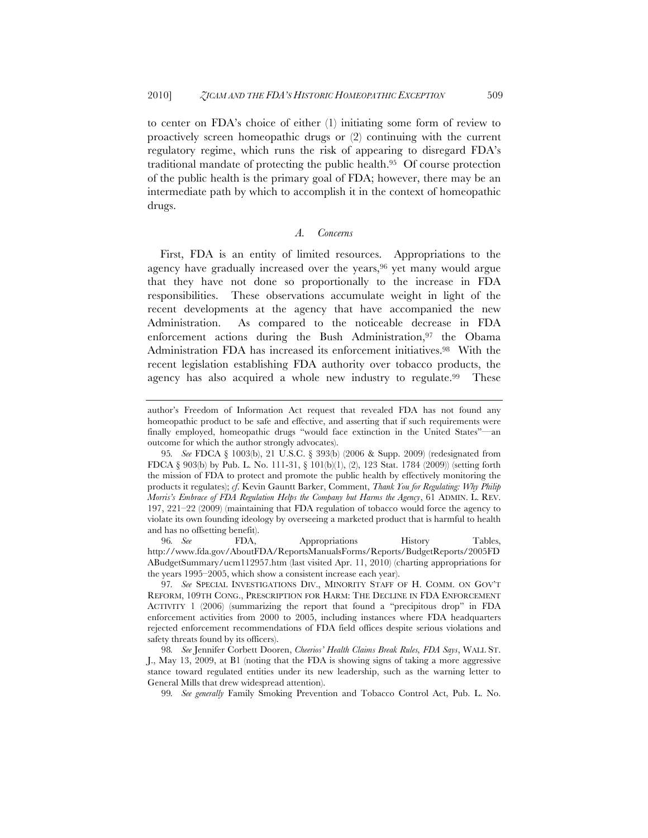to center on FDA's choice of either (1) initiating some form of review to proactively screen homeopathic drugs or (2) continuing with the current regulatory regime, which runs the risk of appearing to disregard FDA's traditional mandate of protecting the public health.95 Of course protection of the public health is the primary goal of FDA; however, there may be an intermediate path by which to accomplish it in the context of homeopathic drugs.

# *A. Concerns*

First, FDA is an entity of limited resources. Appropriations to the agency have gradually increased over the years,<sup>96</sup> yet many would argue that they have not done so proportionally to the increase in FDA responsibilities. These observations accumulate weight in light of the recent developments at the agency that have accompanied the new Administration. As compared to the noticeable decrease in FDA enforcement actions during the Bush Administration,<sup>97</sup> the Obama Administration FDA has increased its enforcement initiatives.98 With the recent legislation establishing FDA authority over tobacco products, the agency has also acquired a whole new industry to regulate.99 These

96*. See* FDA, Appropriations History Tables, http://www.fda.gov/AboutFDA/ReportsManualsForms/Reports/BudgetReports/2005FD ABudgetSummary/ucm112957.htm (last visited Apr. 11, 2010) (charting appropriations for the years 1995–2005, which show a consistent increase each year).

99*. See generally* Family Smoking Prevention and Tobacco Control Act, Pub. L. No.

author's Freedom of Information Act request that revealed FDA has not found any homeopathic product to be safe and effective, and asserting that if such requirements were finally employed, homeopathic drugs "would face extinction in the United States"—an outcome for which the author strongly advocates).

<sup>95</sup>*. See* FDCA § 1003(b), 21 U.S.C. § 393(b) (2006 & Supp. 2009) (redesignated from FDCA § 903(b) by Pub. L. No. 111-31, § 101(b)(1), (2), 123 Stat. 1784 (2009)) (setting forth the mission of FDA to protect and promote the public health by effectively monitoring the products it regulates); *cf*. Kevin Gauntt Barker, Comment, *Thank You for Regulating: Why Philip Morris's Embrace of FDA Regulation Helps the Company but Harms the Agency*, 61 ADMIN. L. REV. 197, 221–22 (2009) (maintaining that FDA regulation of tobacco would force the agency to violate its own founding ideology by overseeing a marketed product that is harmful to health and has no offsetting benefit).

<sup>97</sup>*. See* SPECIAL INVESTIGATIONS DIV., MINORITY STAFF OF H. COMM. ON GOV'T REFORM, 109TH CONG., PRESCRIPTION FOR HARM: THE DECLINE IN FDA ENFORCEMENT ACTIVITY 1 (2006) (summarizing the report that found a "precipitous drop" in FDA enforcement activities from 2000 to 2005, including instances where FDA headquarters rejected enforcement recommendations of FDA field offices despite serious violations and safety threats found by its officers).

<sup>98</sup>*. See* Jennifer Corbett Dooren, *Cheerios' Health Claims Break Rules, FDA Says*, WALL ST. J., May 13, 2009, at B1 (noting that the FDA is showing signs of taking a more aggressive stance toward regulated entities under its new leadership, such as the warning letter to General Mills that drew widespread attention).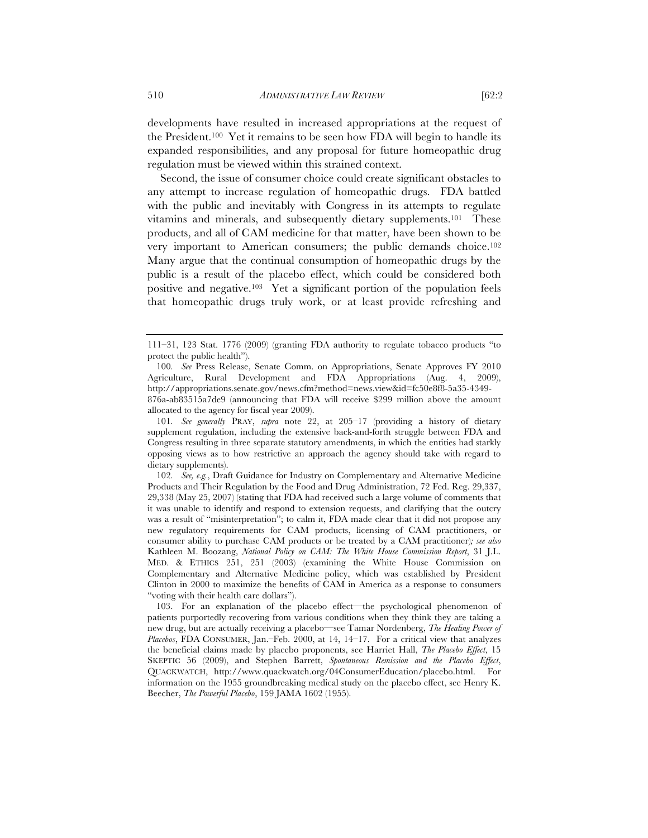developments have resulted in increased appropriations at the request of the President.100 Yet it remains to be seen how FDA will begin to handle its expanded responsibilities, and any proposal for future homeopathic drug regulation must be viewed within this strained context.

Second, the issue of consumer choice could create significant obstacles to any attempt to increase regulation of homeopathic drugs. FDA battled with the public and inevitably with Congress in its attempts to regulate vitamins and minerals, and subsequently dietary supplements.101 These products, and all of CAM medicine for that matter, have been shown to be very important to American consumers; the public demands choice.102 Many argue that the continual consumption of homeopathic drugs by the public is a result of the placebo effect, which could be considered both positive and negative.103 Yet a significant portion of the population feels that homeopathic drugs truly work, or at least provide refreshing and

101*. See generally* PRAY, *supra* note 22, at 205–17 (providing a history of dietary supplement regulation, including the extensive back-and-forth struggle between FDA and Congress resulting in three separate statutory amendments, in which the entities had starkly opposing views as to how restrictive an approach the agency should take with regard to dietary supplements).

102*. See, e.g.*, Draft Guidance for Industry on Complementary and Alternative Medicine Products and Their Regulation by the Food and Drug Administration, 72 Fed. Reg. 29,337, 29,338 (May 25, 2007) (stating that FDA had received such a large volume of comments that it was unable to identify and respond to extension requests, and clarifying that the outcry was a result of "misinterpretation"; to calm it, FDA made clear that it did not propose any new regulatory requirements for CAM products, licensing of CAM practitioners, or consumer ability to purchase CAM products or be treated by a CAM practitioner)*; see also* Kathleen M. Boozang, *National Policy on CAM: The White House Commission Report*, 31 J.L. MED. & ETHICS 251, 251 (2003) (examining the White House Commission on Complementary and Alternative Medicine policy, which was established by President Clinton in 2000 to maximize the benefits of CAM in America as a response to consumers "voting with their health care dollars").

<sup>111–31, 123</sup> Stat. 1776 (2009) (granting FDA authority to regulate tobacco products "to protect the public health").

<sup>100</sup>*. See* Press Release, Senate Comm. on Appropriations, Senate Approves FY 2010 Agriculture, Rural Development and FDA Appropriations (Aug. 4, 2009), http://appropriations.senate.gov/news.cfm?method=news.view&id=fc50e8f8-5a35-4349- 876a-ab83515a7de9 (announcing that FDA will receive \$299 million above the amount allocated to the agency for fiscal year 2009).

<sup>103.</sup> For an explanation of the placebo effect—the psychological phenomenon of patients purportedly recovering from various conditions when they think they are taking a new drug, but are actually receiving a placebo—see Tamar Nordenberg, *The Healing Power of Placebos*, FDA CONSUMER, Jan.–Feb. 2000, at 14, 14–17. For a critical view that analyzes the beneficial claims made by placebo proponents, see Harriet Hall, *The Placebo Effect*, 15 SKEPTIC 56 (2009), and Stephen Barrett, *Spontaneous Remission and the Placebo Effect*, QUACKWATCH, http://www.quackwatch.org/04ConsumerEducation/placebo.html. For information on the 1955 groundbreaking medical study on the placebo effect, see Henry K. Beecher, *The Powerful Placebo*, 159 JAMA 1602 (1955).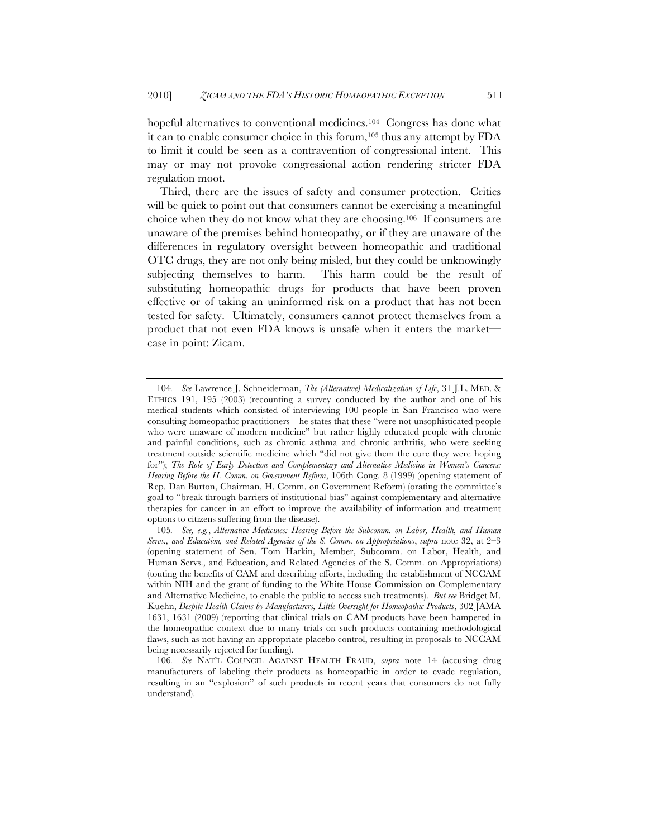hopeful alternatives to conventional medicines.<sup>104</sup> Congress has done what it can to enable consumer choice in this forum,105 thus any attempt by FDA to limit it could be seen as a contravention of congressional intent. This may or may not provoke congressional action rendering stricter FDA regulation moot.

Third, there are the issues of safety and consumer protection. Critics will be quick to point out that consumers cannot be exercising a meaningful choice when they do not know what they are choosing.106 If consumers are unaware of the premises behind homeopathy, or if they are unaware of the differences in regulatory oversight between homeopathic and traditional OTC drugs, they are not only being misled, but they could be unknowingly subjecting themselves to harm. This harm could be the result of substituting homeopathic drugs for products that have been proven effective or of taking an uninformed risk on a product that has not been tested for safety. Ultimately, consumers cannot protect themselves from a product that not even FDA knows is unsafe when it enters the market case in point: Zicam.

<sup>104</sup>*. See* Lawrence J. Schneiderman, *The (Alternative) Medicalization of Life*, 31 J.L. MED. & ETHICS 191, 195 (2003) (recounting a survey conducted by the author and one of his medical students which consisted of interviewing 100 people in San Francisco who were consulting homeopathic practitioners—he states that these "were not unsophisticated people who were unaware of modern medicine" but rather highly educated people with chronic and painful conditions, such as chronic asthma and chronic arthritis, who were seeking treatment outside scientific medicine which "did not give them the cure they were hoping for"); The Role of Early Detection and Complementary and Alternative Medicine in Women's Cancers: *Hearing Before the H. Comm. on Government Reform*, 106th Cong. 8 (1999) (opening statement of Rep. Dan Burton, Chairman, H. Comm. on Government Reform) (orating the committee's goal to "break through barriers of institutional bias" against complementary and alternative therapies for cancer in an effort to improve the availability of information and treatment options to citizens suffering from the disease).

<sup>105</sup>*. See, e.g.*, *Alternative Medicines: Hearing Before the Subcomm. on Labor, Health, and Human Servs., and Education, and Related Agencies of the S. Comm. on Appropriations*, *supra* note 32, at 2–3 (opening statement of Sen. Tom Harkin, Member, Subcomm. on Labor, Health, and Human Servs., and Education, and Related Agencies of the S. Comm. on Appropriations) (touting the benefits of CAM and describing efforts, including the establishment of NCCAM within NIH and the grant of funding to the White House Commission on Complementary and Alternative Medicine, to enable the public to access such treatments). *But see* Bridget M. Kuehn, *Despite Health Claims by Manufacturers, Little Oversight for Homeopathic Products*, 302 JAMA 1631, 1631 (2009) (reporting that clinical trials on CAM products have been hampered in the homeopathic context due to many trials on such products containing methodological flaws, such as not having an appropriate placebo control, resulting in proposals to NCCAM being necessarily rejected for funding).

<sup>106</sup>*. See* NAT'L COUNCIL AGAINST HEALTH FRAUD, *supra* note 14 (accusing drug manufacturers of labeling their products as homeopathic in order to evade regulation, resulting in an "explosion" of such products in recent years that consumers do not fully understand).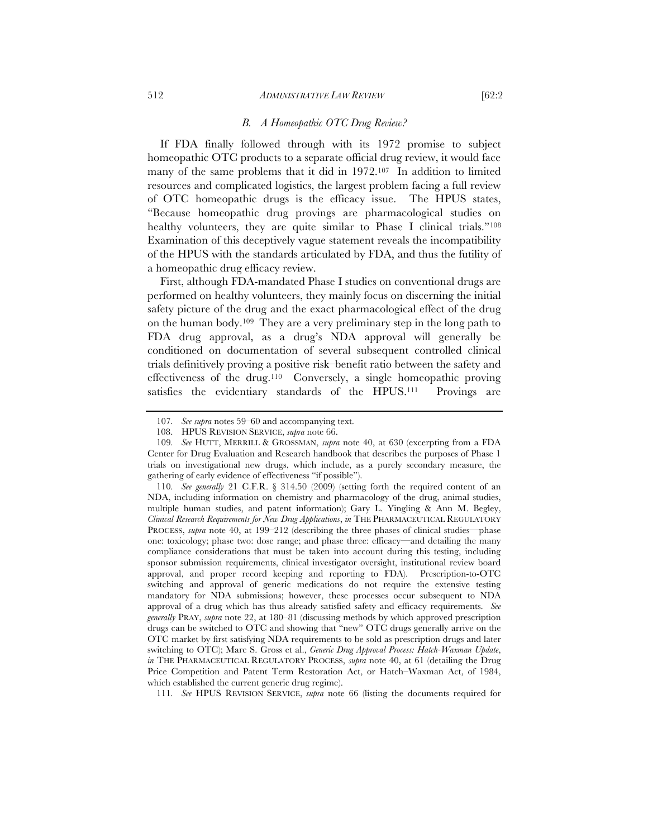#### *B. A Homeopathic OTC Drug Review?*

If FDA finally followed through with its 1972 promise to subject homeopathic OTC products to a separate official drug review, it would face many of the same problems that it did in 1972.107 In addition to limited resources and complicated logistics, the largest problem facing a full review of OTC homeopathic drugs is the efficacy issue. The HPUS states, "Because homeopathic drug provings are pharmacological studies on healthy volunteers, they are quite similar to Phase I clinical trials."<sup>108</sup> Examination of this deceptively vague statement reveals the incompatibility of the HPUS with the standards articulated by FDA, and thus the futility of a homeopathic drug efficacy review.

First, although FDA-mandated Phase I studies on conventional drugs are performed on healthy volunteers, they mainly focus on discerning the initial safety picture of the drug and the exact pharmacological effect of the drug on the human body.109 They are a very preliminary step in the long path to FDA drug approval, as a drug's NDA approval will generally be conditioned on documentation of several subsequent controlled clinical trials definitively proving a positive risk–benefit ratio between the safety and effectiveness of the drug.110 Conversely, a single homeopathic proving satisfies the evidentiary standards of the HPUS.<sup>111</sup> Provings are

<sup>107</sup>*. See supra* notes 59–60 and accompanying text.

<sup>108.</sup> HPUS REVISION SERVICE, *supra* note 66.

<sup>109</sup>*. See* HUTT, MERRILL & GROSSMAN, *supra* note 40, at 630 (excerpting from a FDA Center for Drug Evaluation and Research handbook that describes the purposes of Phase 1 trials on investigational new drugs, which include, as a purely secondary measure, the gathering of early evidence of effectiveness "if possible").

<sup>110</sup>*. See generally* 21 C.F.R. § 314.50 (2009) (setting forth the required content of an NDA, including information on chemistry and pharmacology of the drug, animal studies, multiple human studies, and patent information); Gary L. Yingling & Ann M. Begley, *Clinical Research Requirements for New Drug Applications*, *in* THE PHARMACEUTICAL REGULATORY PROCESS, *supra* note 40, at 199–212 (describing the three phases of clinical studies—phase one: toxicology; phase two: dose range; and phase three: efficacy—and detailing the many compliance considerations that must be taken into account during this testing, including sponsor submission requirements, clinical investigator oversight, institutional review board approval, and proper record keeping and reporting to FDA). Prescription-to-OTC switching and approval of generic medications do not require the extensive testing mandatory for NDA submissions; however, these processes occur subsequent to NDA approval of a drug which has thus already satisfied safety and efficacy requirements. *See generally* PRAY, *supra* note 22, at 180–81 (discussing methods by which approved prescription drugs can be switched to OTC and showing that "new" OTC drugs generally arrive on the OTC market by first satisfying NDA requirements to be sold as prescription drugs and later switching to OTC); Marc S. Gross et al., *Generic Drug Approval Process: Hatch-Waxman Update*, *in* THE PHARMACEUTICAL REGULATORY PROCESS, *supra* note 40, at 61 (detailing the Drug Price Competition and Patent Term Restoration Act, or Hatch–Waxman Act, of 1984, which established the current generic drug regime).

<sup>111</sup>*. See* HPUS REVISION SERVICE, *supra* note 66 (listing the documents required for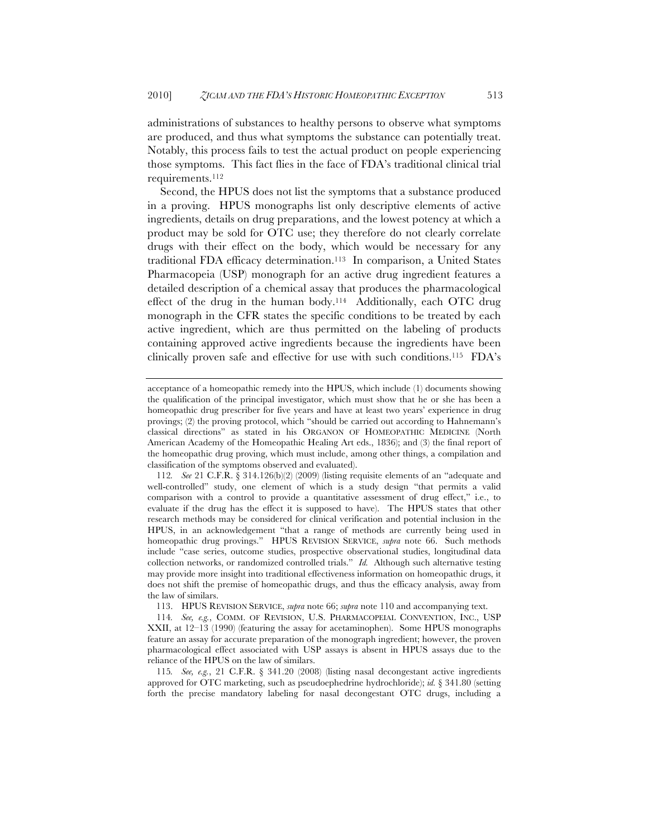administrations of substances to healthy persons to observe what symptoms are produced, and thus what symptoms the substance can potentially treat. Notably, this process fails to test the actual product on people experiencing those symptoms. This fact flies in the face of FDA's traditional clinical trial requirements.112

Second, the HPUS does not list the symptoms that a substance produced in a proving. HPUS monographs list only descriptive elements of active ingredients, details on drug preparations, and the lowest potency at which a product may be sold for OTC use; they therefore do not clearly correlate drugs with their effect on the body, which would be necessary for any traditional FDA efficacy determination.113 In comparison, a United States Pharmacopeia (USP) monograph for an active drug ingredient features a detailed description of a chemical assay that produces the pharmacological effect of the drug in the human body.114 Additionally, each OTC drug monograph in the CFR states the specific conditions to be treated by each active ingredient, which are thus permitted on the labeling of products containing approved active ingredients because the ingredients have been clinically proven safe and effective for use with such conditions.115 FDA's

113. HPUS REVISION SERVICE, *supra* note 66; *supra* note 110 and accompanying text.

114*. See, e.g.*, COMM. OF REVISION, U.S. PHARMACOPEIAL CONVENTION, INC., USP XXII, at 12–13 (1990) (featuring the assay for acetaminophen). Some HPUS monographs feature an assay for accurate preparation of the monograph ingredient; however, the proven pharmacological effect associated with USP assays is absent in HPUS assays due to the reliance of the HPUS on the law of similars.

115*. See, e.g.*, 21 C.F.R. § 341.20 (2008) (listing nasal decongestant active ingredients approved for OTC marketing, such as pseudoephedrine hydrochloride); *id.* § 341.80 (setting forth the precise mandatory labeling for nasal decongestant OTC drugs, including a

acceptance of a homeopathic remedy into the HPUS, which include (1) documents showing the qualification of the principal investigator, which must show that he or she has been a homeopathic drug prescriber for five years and have at least two years' experience in drug provings; (2) the proving protocol, which "should be carried out according to Hahnemann's classical directions" as stated in his ORGANON OF HOMEOPATHIC MEDICINE (North American Academy of the Homeopathic Healing Art eds., 1836); and (3) the final report of the homeopathic drug proving, which must include, among other things, a compilation and classification of the symptoms observed and evaluated).

<sup>112</sup>*. See* 21 C.F.R. § 314.126(b)(2) (2009) (listing requisite elements of an "adequate and well-controlled" study, one element of which is a study design "that permits a valid comparison with a control to provide a quantitative assessment of drug effect," i.e., to evaluate if the drug has the effect it is supposed to have). The HPUS states that other research methods may be considered for clinical verification and potential inclusion in the HPUS, in an acknowledgement "that a range of methods are currently being used in homeopathic drug provings." HPUS REVISION SERVICE, *supra* note 66. Such methods include "case series, outcome studies, prospective observational studies, longitudinal data collection networks, or randomized controlled trials." *Id.* Although such alternative testing may provide more insight into traditional effectiveness information on homeopathic drugs, it does not shift the premise of homeopathic drugs, and thus the efficacy analysis, away from the law of similars.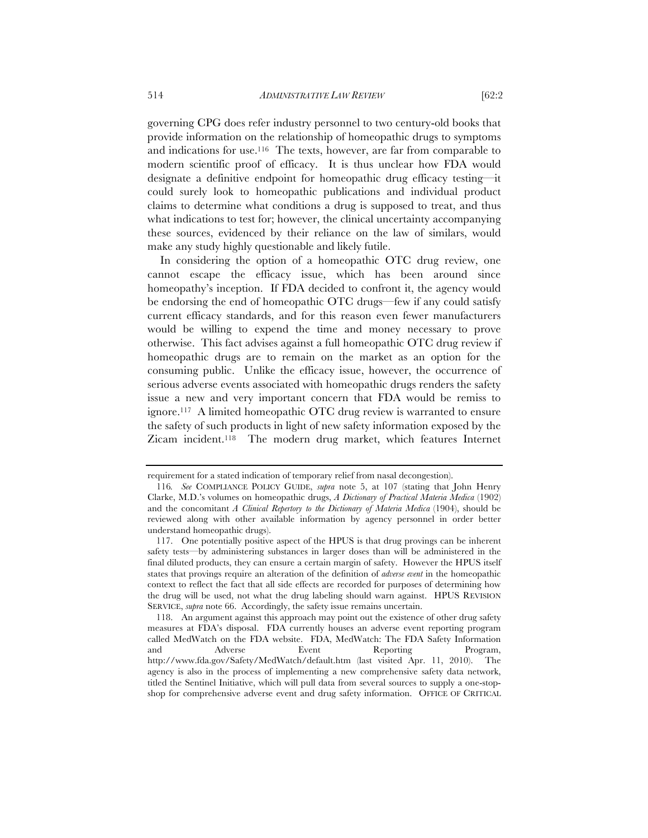governing CPG does refer industry personnel to two century-old books that provide information on the relationship of homeopathic drugs to symptoms and indications for use.116 The texts, however, are far from comparable to modern scientific proof of efficacy. It is thus unclear how FDA would designate a definitive endpoint for homeopathic drug efficacy testing—it could surely look to homeopathic publications and individual product claims to determine what conditions a drug is supposed to treat, and thus what indications to test for; however, the clinical uncertainty accompanying these sources, evidenced by their reliance on the law of similars, would make any study highly questionable and likely futile.

In considering the option of a homeopathic OTC drug review, one cannot escape the efficacy issue, which has been around since homeopathy's inception. If FDA decided to confront it, the agency would be endorsing the end of homeopathic OTC drugs—few if any could satisfy current efficacy standards, and for this reason even fewer manufacturers would be willing to expend the time and money necessary to prove otherwise. This fact advises against a full homeopathic OTC drug review if homeopathic drugs are to remain on the market as an option for the consuming public. Unlike the efficacy issue, however, the occurrence of serious adverse events associated with homeopathic drugs renders the safety issue a new and very important concern that FDA would be remiss to ignore.117 A limited homeopathic OTC drug review is warranted to ensure the safety of such products in light of new safety information exposed by the Zicam incident.118 The modern drug market, which features Internet

requirement for a stated indication of temporary relief from nasal decongestion).

<sup>116</sup>*. See* COMPLIANCE POLICY GUIDE, *supra* note 5, at 107 (stating that John Henry Clarke, M.D.'s volumes on homeopathic drugs, *A Dictionary of Practical Materia Medica* (1902) and the concomitant *A Clinical Repertory to the Dictionary of Materia Medica* (1904), should be reviewed along with other available information by agency personnel in order better understand homeopathic drugs).

<sup>117.</sup> One potentially positive aspect of the HPUS is that drug provings can be inherent safety tests—by administering substances in larger doses than will be administered in the final diluted products, they can ensure a certain margin of safety. However the HPUS itself states that provings require an alteration of the definition of *adverse event* in the homeopathic context to reflect the fact that all side effects are recorded for purposes of determining how the drug will be used, not what the drug labeling should warn against. HPUS REVISION SERVICE, *supra* note 66. Accordingly, the safety issue remains uncertain.

<sup>118.</sup> An argument against this approach may point out the existence of other drug safety measures at FDA's disposal. FDA currently houses an adverse event reporting program called MedWatch on the FDA website. FDA, MedWatch: The FDA Safety Information and Adverse Event Reporting Program, http://www.fda.gov/Safety/MedWatch/default.htm (last visited Apr. 11, 2010). The agency is also in the process of implementing a new comprehensive safety data network, titled the Sentinel Initiative, which will pull data from several sources to supply a one-stopshop for comprehensive adverse event and drug safety information. OFFICE OF CRITICAL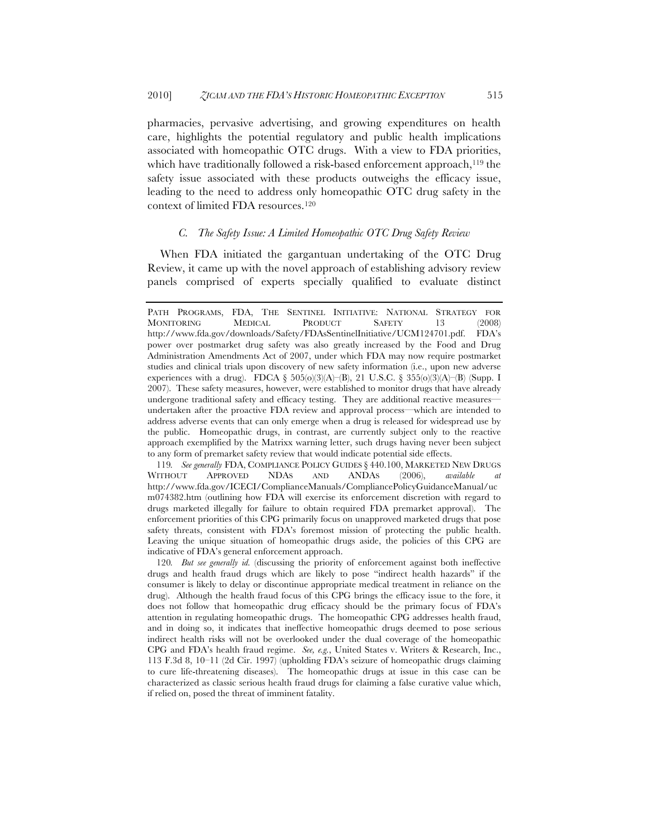pharmacies, pervasive advertising, and growing expenditures on health care, highlights the potential regulatory and public health implications associated with homeopathic OTC drugs. With a view to FDA priorities, which have traditionally followed a risk-based enforcement approach,<sup>119</sup> the safety issue associated with these products outweighs the efficacy issue, leading to the need to address only homeopathic OTC drug safety in the context of limited FDA resources.120

#### *C. The Safety Issue: A Limited Homeopathic OTC Drug Safety Review*

When FDA initiated the gargantuan undertaking of the OTC Drug Review, it came up with the novel approach of establishing advisory review panels comprised of experts specially qualified to evaluate distinct

119*. See generally* FDA, COMPLIANCE POLICY GUIDES § 440.100, MARKETED NEW DRUGS WITHOUT APPROVED NDAS AND ANDAS (2006), *available at* http://www.fda.gov/ICECI/ComplianceManuals/CompliancePolicyGuidanceManual/uc m074382.htm (outlining how FDA will exercise its enforcement discretion with regard to drugs marketed illegally for failure to obtain required FDA premarket approval). The enforcement priorities of this CPG primarily focus on unapproved marketed drugs that pose safety threats, consistent with FDA's foremost mission of protecting the public health. Leaving the unique situation of homeopathic drugs aside, the policies of this CPG are indicative of FDA's general enforcement approach.

PATH PROGRAMS, FDA, THE SENTINEL INITIATIVE: NATIONAL STRATEGY FOR MONITORING MEDICAL PRODUCT SAFETY 13 (2008) http://www.fda.gov/downloads/Safety/FDAsSentinelInitiative/UCM124701.pdf. FDA's power over postmarket drug safety was also greatly increased by the Food and Drug Administration Amendments Act of 2007, under which FDA may now require postmarket studies and clinical trials upon discovery of new safety information (i.e., upon new adverse experiences with a drug). FDCA § 505(o)(3)(A)–(B), 21 U.S.C. § 355(o)(3)(A)–(B) (Supp. I 2007). These safety measures, however, were established to monitor drugs that have already undergone traditional safety and efficacy testing. They are additional reactive measures undertaken after the proactive FDA review and approval process—which are intended to address adverse events that can only emerge when a drug is released for widespread use by the public. Homeopathic drugs, in contrast, are currently subject only to the reactive approach exemplified by the Matrixx warning letter, such drugs having never been subject to any form of premarket safety review that would indicate potential side effects.

<sup>120</sup>*. But see generally id.* (discussing the priority of enforcement against both ineffective drugs and health fraud drugs which are likely to pose "indirect health hazards" if the consumer is likely to delay or discontinue appropriate medical treatment in reliance on the drug). Although the health fraud focus of this CPG brings the efficacy issue to the fore, it does not follow that homeopathic drug efficacy should be the primary focus of FDA's attention in regulating homeopathic drugs. The homeopathic CPG addresses health fraud, and in doing so, it indicates that ineffective homeopathic drugs deemed to pose serious indirect health risks will not be overlooked under the dual coverage of the homeopathic CPG and FDA's health fraud regime. *See, e.g.*, United States v. Writers & Research, Inc., 113 F.3d 8, 10–11 (2d Cir. 1997) (upholding FDA's seizure of homeopathic drugs claiming to cure life-threatening diseases). The homeopathic drugs at issue in this case can be characterized as classic serious health fraud drugs for claiming a false curative value which, if relied on, posed the threat of imminent fatality.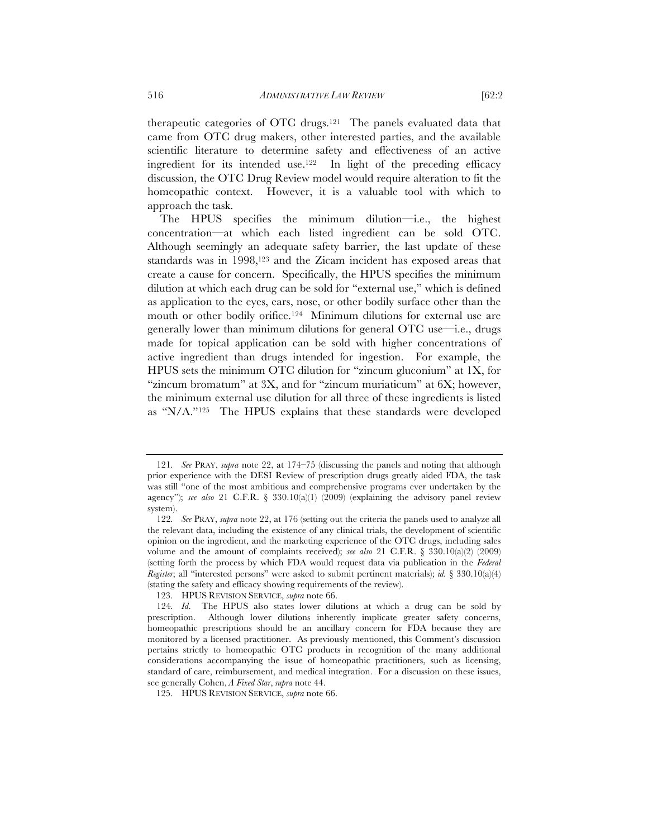therapeutic categories of OTC drugs.121 The panels evaluated data that came from OTC drug makers, other interested parties, and the available scientific literature to determine safety and effectiveness of an active ingredient for its intended use.<sup>122</sup> In light of the preceding efficacy discussion, the OTC Drug Review model would require alteration to fit the homeopathic context. However, it is a valuable tool with which to approach the task.

The HPUS specifies the minimum dilution—i.e., the highest concentration—at which each listed ingredient can be sold OTC. Although seemingly an adequate safety barrier, the last update of these standards was in 1998,123 and the Zicam incident has exposed areas that create a cause for concern. Specifically, the HPUS specifies the minimum dilution at which each drug can be sold for "external use," which is defined as application to the eyes, ears, nose, or other bodily surface other than the mouth or other bodily orifice.124 Minimum dilutions for external use are generally lower than minimum dilutions for general OTC use—i.e., drugs made for topical application can be sold with higher concentrations of active ingredient than drugs intended for ingestion. For example, the HPUS sets the minimum OTC dilution for "zincum gluconium" at 1X, for "zincum bromatum" at 3X, and for "zincum muriaticum" at 6X; however, the minimum external use dilution for all three of these ingredients is listed as "N/A."125 The HPUS explains that these standards were developed

<sup>121</sup>*. See* PRAY, *supra* note 22, at 174–75 (discussing the panels and noting that although prior experience with the DESI Review of prescription drugs greatly aided FDA, the task was still "one of the most ambitious and comprehensive programs ever undertaken by the agency"); *see also* 21 C.F.R. § 330.10(a)(1) (2009) (explaining the advisory panel review system).

<sup>122</sup>*. See* PRAY, *supra* note 22, at 176 (setting out the criteria the panels used to analyze all the relevant data, including the existence of any clinical trials, the development of scientific opinion on the ingredient, and the marketing experience of the OTC drugs, including sales volume and the amount of complaints received); *see also* 21 C.F.R. § 330.10(a)(2) (2009) (setting forth the process by which FDA would request data via publication in the *Federal Register*; all "interested persons" were asked to submit pertinent materials); *id.* § 330.10(a)(4) (stating the safety and efficacy showing requirements of the review).

<sup>123.</sup> HPUS REVISION SERVICE, *supra* note 66.

<sup>124</sup>*. Id*. The HPUS also states lower dilutions at which a drug can be sold by prescription. Although lower dilutions inherently implicate greater safety concerns, homeopathic prescriptions should be an ancillary concern for FDA because they are monitored by a licensed practitioner. As previously mentioned, this Comment's discussion pertains strictly to homeopathic OTC products in recognition of the many additional considerations accompanying the issue of homeopathic practitioners, such as licensing, standard of care, reimbursement, and medical integration. For a discussion on these issues, see generally Cohen, *A Fixed Star*, *supra* note 44.

<sup>125.</sup> HPUS REVISION SERVICE, *supra* note 66.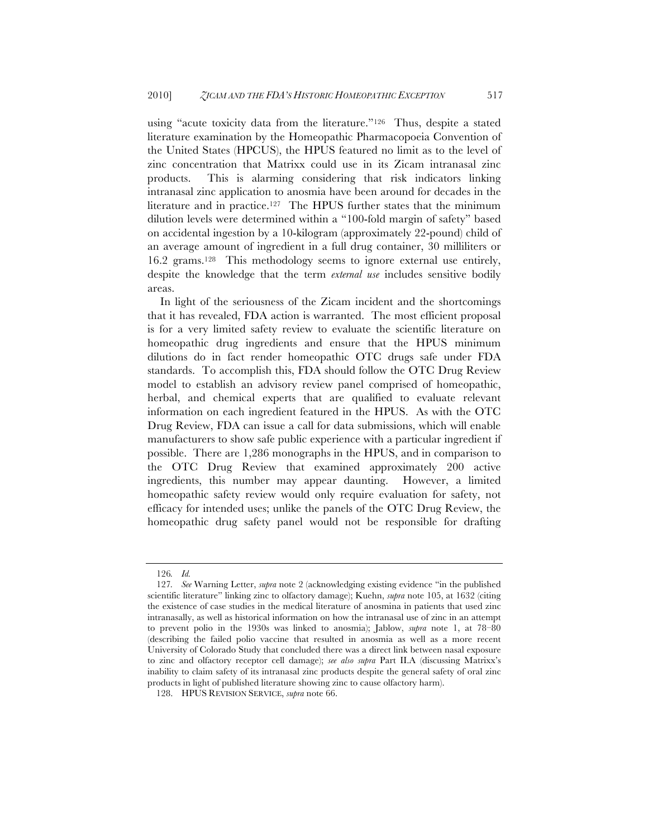using "acute toxicity data from the literature."126 Thus, despite a stated literature examination by the Homeopathic Pharmacopoeia Convention of the United States (HPCUS), the HPUS featured no limit as to the level of zinc concentration that Matrixx could use in its Zicam intranasal zinc products. This is alarming considering that risk indicators linking intranasal zinc application to anosmia have been around for decades in the literature and in practice.127 The HPUS further states that the minimum dilution levels were determined within a "100-fold margin of safety" based on accidental ingestion by a 10-kilogram (approximately 22-pound) child of an average amount of ingredient in a full drug container, 30 milliliters or 16.2 grams.128 This methodology seems to ignore external use entirely, despite the knowledge that the term *external use* includes sensitive bodily areas.

In light of the seriousness of the Zicam incident and the shortcomings that it has revealed, FDA action is warranted. The most efficient proposal is for a very limited safety review to evaluate the scientific literature on homeopathic drug ingredients and ensure that the HPUS minimum dilutions do in fact render homeopathic OTC drugs safe under FDA standards. To accomplish this, FDA should follow the OTC Drug Review model to establish an advisory review panel comprised of homeopathic, herbal, and chemical experts that are qualified to evaluate relevant information on each ingredient featured in the HPUS. As with the OTC Drug Review, FDA can issue a call for data submissions, which will enable manufacturers to show safe public experience with a particular ingredient if possible. There are 1,286 monographs in the HPUS, and in comparison to the OTC Drug Review that examined approximately 200 active ingredients, this number may appear daunting. However, a limited homeopathic safety review would only require evaluation for safety, not efficacy for intended uses; unlike the panels of the OTC Drug Review, the homeopathic drug safety panel would not be responsible for drafting

<sup>126</sup>*. Id.*

<sup>127</sup>*. See* Warning Letter, *supra* note 2 (acknowledging existing evidence "in the published scientific literature" linking zinc to olfactory damage); Kuehn, *supra* note 105, at 1632 (citing the existence of case studies in the medical literature of anosmina in patients that used zinc intranasally, as well as historical information on how the intranasal use of zinc in an attempt to prevent polio in the 1930s was linked to anosmia); Jablow, *supra* note 1, at 78–80 (describing the failed polio vaccine that resulted in anosmia as well as a more recent University of Colorado Study that concluded there was a direct link between nasal exposure to zinc and olfactory receptor cell damage); *see also supra* Part II.A (discussing Matrixx's inability to claim safety of its intranasal zinc products despite the general safety of oral zinc products in light of published literature showing zinc to cause olfactory harm).

<sup>128.</sup> HPUS REVISION SERVICE, *supra* note 66.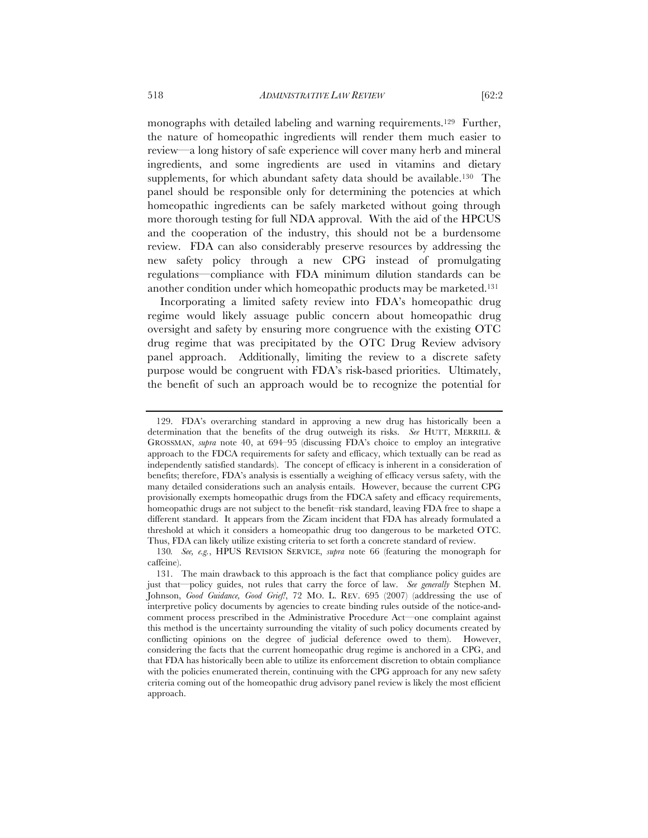monographs with detailed labeling and warning requirements.129 Further, the nature of homeopathic ingredients will render them much easier to review—a long history of safe experience will cover many herb and mineral ingredients, and some ingredients are used in vitamins and dietary supplements, for which abundant safety data should be available.130 The panel should be responsible only for determining the potencies at which homeopathic ingredients can be safely marketed without going through more thorough testing for full NDA approval. With the aid of the HPCUS and the cooperation of the industry, this should not be a burdensome review. FDA can also considerably preserve resources by addressing the new safety policy through a new CPG instead of promulgating

regulations—compliance with FDA minimum dilution standards can be another condition under which homeopathic products may be marketed.131 Incorporating a limited safety review into FDA's homeopathic drug regime would likely assuage public concern about homeopathic drug oversight and safety by ensuring more congruence with the existing OTC drug regime that was precipitated by the OTC Drug Review advisory panel approach. Additionally, limiting the review to a discrete safety purpose would be congruent with FDA's risk-based priorities. Ultimately, the benefit of such an approach would be to recognize the potential for

<sup>129.</sup> FDA's overarching standard in approving a new drug has historically been a determination that the benefits of the drug outweigh its risks. *See* HUTT, MERRILL & GROSSMAN, *supra* note 40, at 694–95 (discussing FDA's choice to employ an integrative approach to the FDCA requirements for safety and efficacy, which textually can be read as independently satisfied standards). The concept of efficacy is inherent in a consideration of benefits; therefore, FDA's analysis is essentially a weighing of efficacy versus safety, with the many detailed considerations such an analysis entails. However, because the current CPG provisionally exempts homeopathic drugs from the FDCA safety and efficacy requirements, homeopathic drugs are not subject to the benefit–risk standard, leaving FDA free to shape a different standard. It appears from the Zicam incident that FDA has already formulated a threshold at which it considers a homeopathic drug too dangerous to be marketed OTC. Thus, FDA can likely utilize existing criteria to set forth a concrete standard of review.

<sup>130</sup>*. See, e.g.*, HPUS REVISION SERVICE, *supra* note 66 (featuring the monograph for caffeine).

<sup>131.</sup> The main drawback to this approach is the fact that compliance policy guides are just that—policy guides, not rules that carry the force of law. *See generally* Stephen M. Johnson, *Good Guidance, Good Grief!*, 72 MO. L. REV. 695 (2007) (addressing the use of interpretive policy documents by agencies to create binding rules outside of the notice-andcomment process prescribed in the Administrative Procedure Act—one complaint against this method is the uncertainty surrounding the vitality of such policy documents created by conflicting opinions on the degree of judicial deference owed to them). However, considering the facts that the current homeopathic drug regime is anchored in a CPG, and that FDA has historically been able to utilize its enforcement discretion to obtain compliance with the policies enumerated therein, continuing with the CPG approach for any new safety criteria coming out of the homeopathic drug advisory panel review is likely the most efficient approach.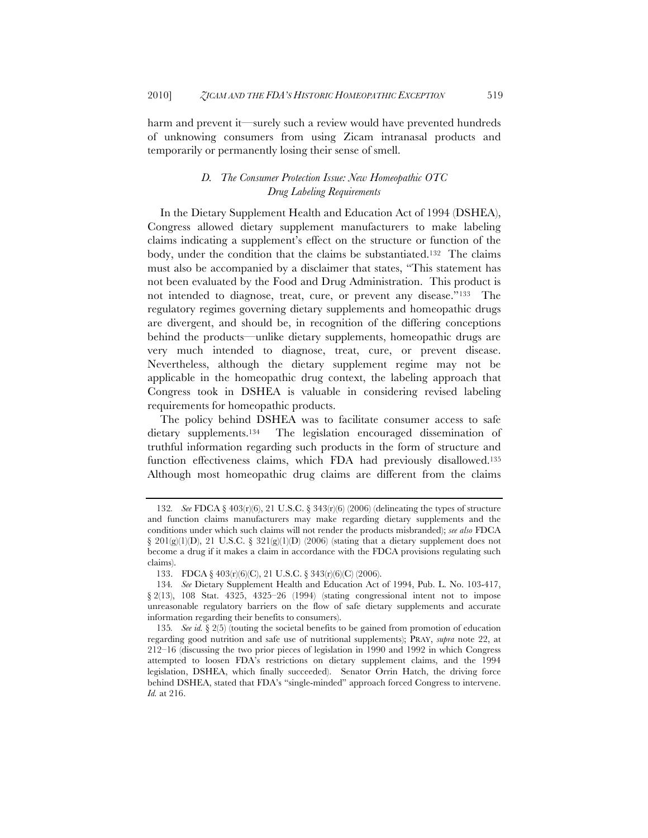harm and prevent it—surely such a review would have prevented hundreds of unknowing consumers from using Zicam intranasal products and temporarily or permanently losing their sense of smell.

# *D. The Consumer Protection Issue: New Homeopathic OTC Drug Labeling Requirements*

In the Dietary Supplement Health and Education Act of 1994 (DSHEA), Congress allowed dietary supplement manufacturers to make labeling claims indicating a supplement's effect on the structure or function of the body, under the condition that the claims be substantiated.132 The claims must also be accompanied by a disclaimer that states, "This statement has not been evaluated by the Food and Drug Administration. This product is not intended to diagnose, treat, cure, or prevent any disease."133 The regulatory regimes governing dietary supplements and homeopathic drugs are divergent, and should be, in recognition of the differing conceptions behind the products—unlike dietary supplements, homeopathic drugs are very much intended to diagnose, treat, cure, or prevent disease. Nevertheless, although the dietary supplement regime may not be applicable in the homeopathic drug context, the labeling approach that Congress took in DSHEA is valuable in considering revised labeling requirements for homeopathic products.

The policy behind DSHEA was to facilitate consumer access to safe dietary supplements.134 The legislation encouraged dissemination of truthful information regarding such products in the form of structure and function effectiveness claims, which FDA had previously disallowed.135 Although most homeopathic drug claims are different from the claims

<sup>132</sup>*. See* FDCA § 403(r)(6), 21 U.S.C. § 343(r)(6) (2006) (delineating the types of structure and function claims manufacturers may make regarding dietary supplements and the conditions under which such claims will not render the products misbranded); *see also* FDCA § 201(g)(1)(D), 21 U.S.C. § 321(g)(1)(D) (2006) (stating that a dietary supplement does not become a drug if it makes a claim in accordance with the FDCA provisions regulating such claims).

<sup>133.</sup> FDCA § 403(r)(6)(C), 21 U.S.C. § 343(r)(6)(C) (2006).

<sup>134</sup>*. See* Dietary Supplement Health and Education Act of 1994, Pub. L. No. 103-417, § 2(13), 108 Stat. 4325, 4325–26 (1994) (stating congressional intent not to impose unreasonable regulatory barriers on the flow of safe dietary supplements and accurate information regarding their benefits to consumers).

<sup>135</sup>*. See id.* § 2(5) (touting the societal benefits to be gained from promotion of education regarding good nutrition and safe use of nutritional supplements); PRAY, *supra* note 22, at 212–16 (discussing the two prior pieces of legislation in 1990 and 1992 in which Congress attempted to loosen FDA's restrictions on dietary supplement claims, and the 1994 legislation, DSHEA, which finally succeeded). Senator Orrin Hatch, the driving force behind DSHEA, stated that FDA's "single-minded" approach forced Congress to intervene. *Id.* at 216.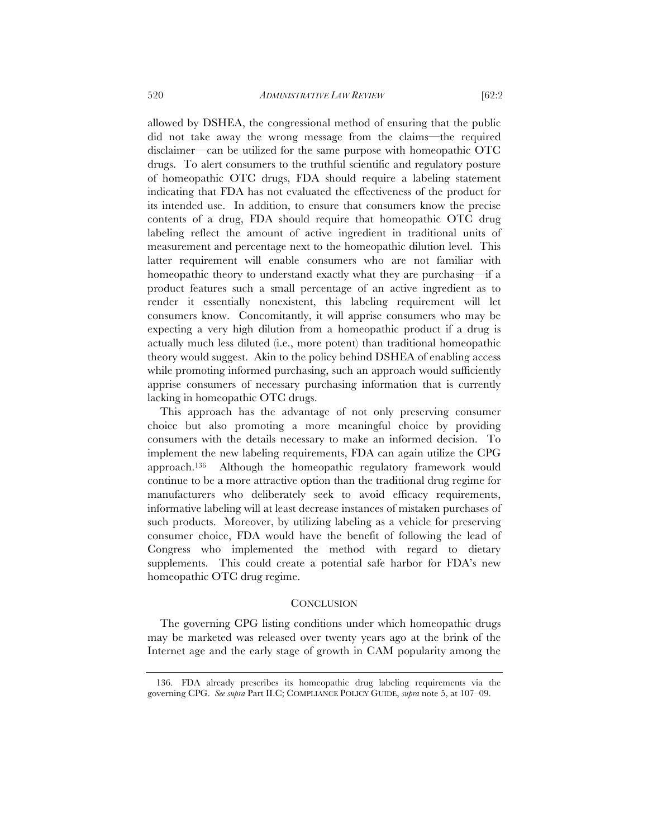allowed by DSHEA, the congressional method of ensuring that the public did not take away the wrong message from the claims—the required disclaimer—can be utilized for the same purpose with homeopathic OTC drugs. To alert consumers to the truthful scientific and regulatory posture of homeopathic OTC drugs, FDA should require a labeling statement indicating that FDA has not evaluated the effectiveness of the product for its intended use. In addition, to ensure that consumers know the precise contents of a drug, FDA should require that homeopathic OTC drug labeling reflect the amount of active ingredient in traditional units of measurement and percentage next to the homeopathic dilution level. This latter requirement will enable consumers who are not familiar with homeopathic theory to understand exactly what they are purchasing—if a product features such a small percentage of an active ingredient as to render it essentially nonexistent, this labeling requirement will let consumers know. Concomitantly, it will apprise consumers who may be expecting a very high dilution from a homeopathic product if a drug is actually much less diluted (i.e., more potent) than traditional homeopathic theory would suggest. Akin to the policy behind DSHEA of enabling access while promoting informed purchasing, such an approach would sufficiently apprise consumers of necessary purchasing information that is currently lacking in homeopathic OTC drugs.

This approach has the advantage of not only preserving consumer choice but also promoting a more meaningful choice by providing consumers with the details necessary to make an informed decision. To implement the new labeling requirements, FDA can again utilize the CPG approach.136 Although the homeopathic regulatory framework would continue to be a more attractive option than the traditional drug regime for manufacturers who deliberately seek to avoid efficacy requirements, informative labeling will at least decrease instances of mistaken purchases of such products. Moreover, by utilizing labeling as a vehicle for preserving consumer choice, FDA would have the benefit of following the lead of Congress who implemented the method with regard to dietary supplements. This could create a potential safe harbor for FDA's new homeopathic OTC drug regime.

#### **CONCLUSION**

The governing CPG listing conditions under which homeopathic drugs may be marketed was released over twenty years ago at the brink of the Internet age and the early stage of growth in CAM popularity among the

<sup>136.</sup> FDA already prescribes its homeopathic drug labeling requirements via the governing CPG. *See supra* Part II.C; COMPLIANCE POLICY GUIDE, *supra* note 5, at 107–09.